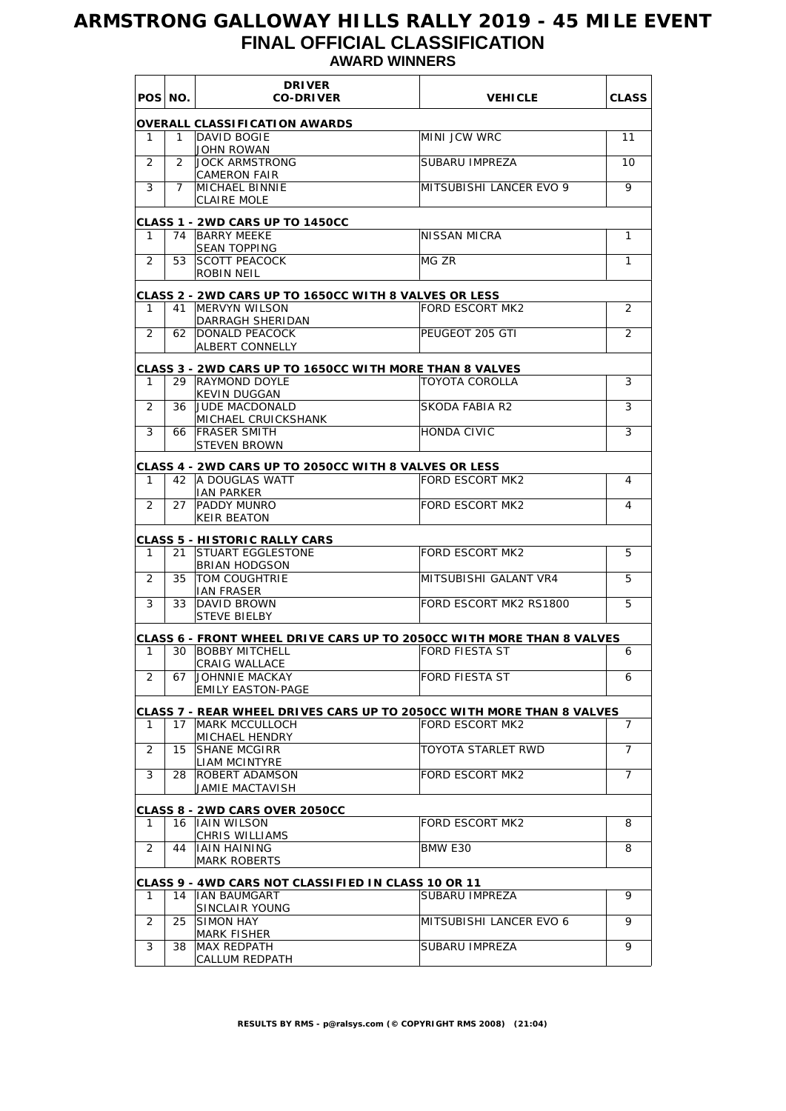## **ARMSTRONG GALLOWAY HILLS RALLY 2019 - 45 MILE EVENT FINAL OFFICIAL CLASSIFICATION AWARD WINNERS**

|    | POS NO. | <b>DRIVER</b><br><b>CO-DRIVER</b>                                     | <b>VEHICLE</b>          | <b>CLASS</b>   |
|----|---------|-----------------------------------------------------------------------|-------------------------|----------------|
|    |         | <b>OVERALL CLASSIFICATION AWARDS</b>                                  |                         |                |
| 1  | 1       | DAVID BOGIE                                                           | MINI JCW WRC            | 11             |
| 2  | 2       | JOHN ROWAN<br><b>JOCK ARMSTRONG</b>                                   | SUBARU IMPREZA          | 10             |
|    |         | <b>CAMERON FAIR</b>                                                   |                         |                |
| 3  | 7       | <b>MICHAEL BINNIE</b><br><b>CLAIRE MOLE</b>                           | MITSUBISHI LANCER EVO 9 | 9              |
|    |         |                                                                       |                         |                |
| 1  |         | CLASS 1 - 2WD CARS UP TO 1450CC<br>74 BARRY MEEKE                     | NISSAN MICRA            | 1              |
|    |         | <b>SEAN TOPPING</b>                                                   |                         |                |
| 2  | 53      | <b>SCOTT PEACOCK</b>                                                  | MG ZR                   | 1              |
|    |         | ROBIN NEIL                                                            |                         |                |
|    |         | <b>CLASS 2 - 2WD CARS UP TO 1650CC WITH 8 VALVES OR LESS</b>          |                         |                |
| 1  |         | 41 IMERVYN WILSON<br>DARRAGH SHERIDAN                                 | <b>FORD ESCORT MK2</b>  | 2              |
| 2  | 62      | <b>DONALD PEACOCK</b>                                                 | PEUGEOT 205 GTI         | 2              |
|    |         | ALBERT CONNELLY                                                       |                         |                |
|    |         | CLASS 3 - 2WD CARS UP TO 1650CC WITH MORE THAN 8 VALVES               |                         |                |
| 1  |         | 29 RAYMOND DOYLE                                                      | TOYOTA COROLLA          | 3              |
| 2  | 36      | <b>KEVIN DUGGAN</b><br><b>JUDE MACDONALD</b>                          | SKODA FABIA R2          | 3              |
|    |         | MICHAEL CRUICKSHANK                                                   |                         |                |
| 3  | 66      | <b>IFRASER SMITH</b>                                                  | <b>HONDA CIVIC</b>      | 3              |
|    |         | <b>STEVEN BROWN</b>                                                   |                         |                |
|    |         | <b>CLASS 4 - 2WD CARS UP TO 2050CC WITH 8 VALVES OR LESS</b>          |                         |                |
| 1  |         | 42   A DOUGLAS WATT<br><b>IAN PARKER</b>                              | <b>FORD ESCORT MK2</b>  | 4              |
| 2  | 27      | <b>PADDY MUNRO</b>                                                    | FORD ESCORT MK2         | 4              |
|    |         | <b>KEIR BEATON</b>                                                    |                         |                |
|    |         | CLASS 5 - HISTORIC RALLY CARS                                         |                         |                |
| 1  | 21      | <b>ISTUART EGGLESTONE</b>                                             | FORD ESCORT MK2         | 5              |
| 2  | 35      | <b>BRIAN HODGSON</b><br>TOM COUGHTRIE                                 | MITSUBISHI GALANT VR4   | 5              |
|    |         | <b>IAN FRASER</b>                                                     |                         |                |
| 3  | 33      | DAVID BROWN                                                           | FORD ESCORT MK2 RS1800  | 5              |
|    |         | <b>STEVE BIELBY</b>                                                   |                         |                |
|    |         | CLASS 6 - FRONT WHEEL DRIVE CARS UP TO 2050CC WITH MORE THAN 8 VALVES |                         |                |
| 1  | 30      | <b>BOBBY MITCHELL</b><br>CRAIG WALLACE                                | <b>FORD FIESTA ST</b>   | 6              |
| 2  | 67      | JOHNNIE MACKAY                                                        | FORD FIESTA ST          | 6              |
|    |         | <b>EMILY EASTON-PAGE</b>                                              |                         |                |
|    |         | CLASS 7 - REAR WHEEL DRIVES CARS UP TO 2050CC WITH MORE THAN 8 VALVES |                         |                |
| 1  |         | 17   MARK MCCULLOCH                                                   | FORD ESCORT MK2         | 7              |
| 2  | 15      | MICHAEL HENDRY<br><b>SHANE MCGIRR</b>                                 | TOYOTA STARLET RWD      | 7              |
|    |         | <b>LIAM MCINTYRE</b>                                                  |                         |                |
| 3  | 28      | <b>ROBERT ADAMSON</b>                                                 | <b>FORD ESCORT MK2</b>  | $\overline{7}$ |
|    |         | JAMIE MACTAVISH                                                       |                         |                |
|    |         | <b>CLASS 8 - 2WD CARS OVER 2050CC</b><br>16 HAIN WILSON               | <b>FORD ESCORT MK2</b>  |                |
| 1. |         | CHRIS WILLIAMS                                                        |                         | 8              |
| 2  | 44      | <b>IAIN HAINING</b>                                                   | BMW E30                 | 8              |
|    |         | <b>MARK ROBERTS</b>                                                   |                         |                |
|    |         | CLASS 9 - 4WD CARS NOT CLASSIFIED IN CLASS 10 OR 11                   |                         |                |
| 1  |         | 14  IAN BAUMGART                                                      | SUBARU IMPREZA          | 9              |
| 2  | 25      | SINCLAIR YOUNG<br>SIMON HAY                                           | MITSUBISHI LANCER EVO 6 | 9              |
|    |         | <b>MARK FISHER</b>                                                    |                         |                |
| 3  | 38      | MAX REDPATH                                                           | SUBARU IMPREZA          | 9              |
|    |         | CALLUM REDPATH                                                        |                         |                |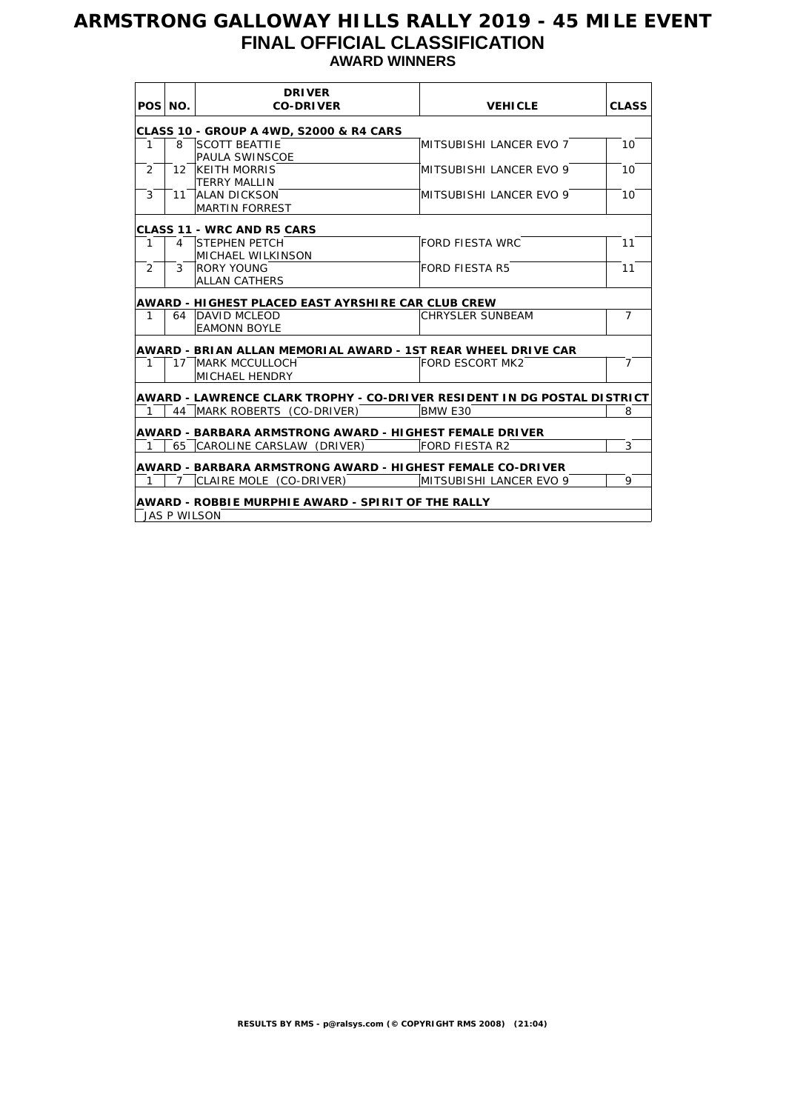## **ARMSTRONG GALLOWAY HILLS RALLY 2019 - 45 MILE EVENT FINAL OFFICIAL CLASSIFICATION AWARD WINNERS**

| POS NO.        |                     | <b>DRIVER</b><br><b>CO-DRIVER</b>                                        | <b>VEHICLE</b>          | <b>CLASS</b>    |
|----------------|---------------------|--------------------------------------------------------------------------|-------------------------|-----------------|
|                |                     | <b>CLASS 10 - GROUP A 4WD, S2000 &amp; R4 CARS</b>                       |                         |                 |
| 1              | 8                   | <b>SCOTT BEATTIE</b><br>PAULA SWINSCOE                                   | MITSUBISHI LANCER EVO 7 | 10 <sup>1</sup> |
| $\overline{2}$ | 12                  | KEITH MORRIS<br><b>TERRY MALLIN</b>                                      | MITSUBISHI LANCER EVO 9 | 10 <sup>1</sup> |
| 3              |                     | 11 ALAN DICKSON<br><b>MARTIN FORREST</b>                                 | MITSUBISHI LANCER EVO 9 | 10              |
|                |                     | <b>CLASS 11 - WRC AND R5 CARS</b>                                        |                         |                 |
| $\mathbf{1}$   |                     | 4 STEPHEN PETCH<br>MICHAEL WILKINSON                                     | <b>FORD FIESTA WRC</b>  | 11              |
| $\overline{2}$ | 3                   | <b>RORY YOUNG</b><br><b>ALLAN CATHERS</b>                                | <b>FORD FIESTA R5</b>   | 11              |
|                |                     | AWARD - HIGHEST PLACED EAST AYRSHIRE CAR CLUB CREW                       |                         |                 |
| 1              |                     | 64 DAVID MCLEOD<br><b>EAMONN BOYLE</b>                                   | <b>CHRYSLER SUNBEAM</b> | $\overline{7}$  |
|                |                     | AWARD - BRIAN ALLAN MEMORIAL AWARD - 1ST REAR WHEEL DRIVE CAR            |                         |                 |
| 1              |                     | 17 MARK MCCULLOCH<br>MICHAEL HENDRY                                      | FORD ESCORT MK2         | $\overline{7}$  |
|                |                     | AWARD - LAWRENCE CLARK TROPHY - CO-DRIVER RESIDENT IN DG POSTAL DISTRICT |                         |                 |
|                |                     | 44   MARK ROBERTS (CO-DRIVER)                                            | BMW E30                 | 8               |
|                |                     | AWARD - BARBARA ARMSTRONG AWARD - HIGHEST FEMALE DRIVER                  |                         |                 |
|                |                     | 65 CAROLINE CARSLAW (DRIVER)                                             | FORD FIESTA R2          | 3               |
|                |                     | AWARD - BARBARA ARMSTRONG AWARD - HIGHEST FEMALE CO-DRIVER               |                         |                 |
| 1              | 7                   | CLAIRE MOLE (CO-DRIVER)                                                  | MITSUBISHI LANCER EVO 9 | 9               |
|                |                     | AWARD - ROBBIE MURPHIE AWARD - SPIRIT OF THE RALLY                       |                         |                 |
|                | <b>JAS P WILSON</b> |                                                                          |                         |                 |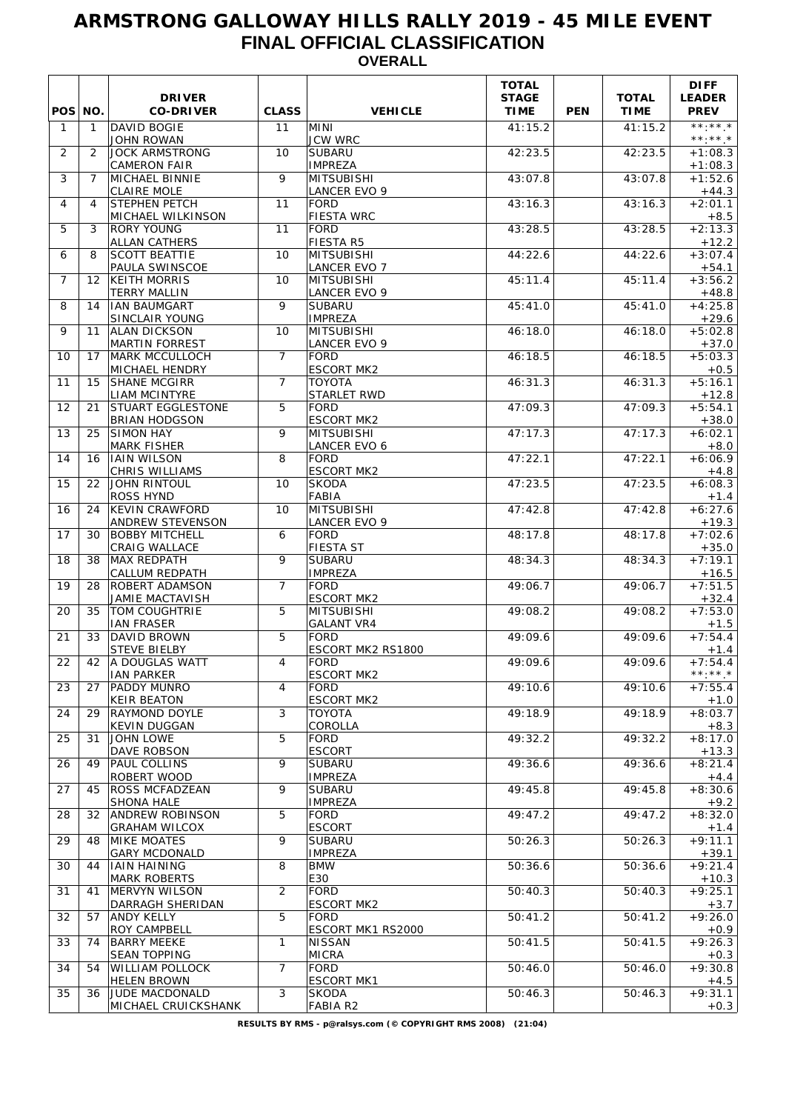### **ARMSTRONG GALLOWAY HILLS RALLY 2019 - 45 MILE EVENT FINAL OFFICIAL CLASSIFICATION OVERALL**

| POS NO.        |                   | <b>DRIVER</b><br><b>CO-DRIVER</b>                            | <b>CLASS</b>   | <b>VEHICLE</b>                           | <b>TOTAL</b><br><b>STAGE</b><br><b>TIME</b> | <b>PEN</b> | <b>TOTAL</b><br><b>TIME</b> | <b>DIFF</b><br><b>LEADER</b><br><b>PREV</b> |
|----------------|-------------------|--------------------------------------------------------------|----------------|------------------------------------------|---------------------------------------------|------------|-----------------------------|---------------------------------------------|
| $\mathbf{1}$   | $\mathbf{1}$      | DAVID BOGIE<br><b>JOHN ROWAN</b>                             | 11             | MINI<br><b>JCW WRC</b>                   | 41:15.2                                     |            | 41:15.2                     | $***$ . * * *<br>$***.**$                   |
| 2              | 2                 | <b>JOCK ARMSTRONG</b><br><b>CAMERON FAIR</b>                 | 10             | SUBARU<br><b>IMPREZA</b>                 | 42:23.5                                     |            | 42:23.5                     | $+1:08.3$<br>$+1:08.3$                      |
| 3              | $\overline{7}$    | MICHAEL BINNIE<br><b>CLAIRE MOLE</b>                         | 9              | <b>MITSUBISHI</b><br><b>LANCER EVO 9</b> | 43:07.8                                     |            | 43:07.8                     | $+1:52.6$<br>$+44.3$                        |
| 4              | 4                 | <b>STEPHEN PETCH</b><br>MICHAEL WILKINSON                    | 11             | <b>FORD</b><br><b>FIESTA WRC</b>         | 43:16.3                                     |            | 43:16.3                     | $+2:01.1$<br>$+8.5$                         |
| 5              | 3                 | <b>RORY YOUNG</b><br><b>ALLAN CATHERS</b>                    | 11             | <b>FORD</b><br><b>FIESTA R5</b>          | 43:28.5                                     |            | 43:28.5                     | $+2:13.3$<br>$+12.2$                        |
| 6              | 8                 | <b>SCOTT BEATTIE</b><br><b>PAULA SWINSCOE</b>                | 10             | MITSUBISHI<br><b>LANCER EVO 7</b>        | 44:22.6                                     |            | 44:22.6                     | $+3:07.4$<br>$+54.1$                        |
| $\overline{7}$ | $12 \overline{ }$ | <b>KEITH MORRIS</b><br><b>TERRY MALLIN</b>                   | 10             | MITSUBISHI<br><b>LANCER EVO 9</b>        | 45:11.4                                     |            | 45:11.4                     | $+3:56.2$<br>$+48.8$                        |
| 8              | 14                | <b>IAN BAUMGART</b><br><b>SINCLAIR YOUNG</b>                 | 9              | SUBARU<br><b>IMPREZA</b>                 | 45:41.0                                     |            | 45:41.0                     | $+4:25.8$<br>$+29.6$                        |
| 9              | 11                | <b>ALAN DICKSON</b><br><b>MARTIN FORREST</b>                 | 10             | MITSUBISHI<br><b>LANCER EVO 9</b>        | 46:18.0                                     |            | 46:18.0                     | $+5:02.8$<br>$+37.0$                        |
| 10             | 17                | MARK MCCULLOCH<br>MICHAEL HENDRY                             | $\overline{7}$ | FORD<br><b>ESCORT MK2</b>                | 46:18.5                                     |            | 46:18.5                     | $+5:03.3$<br>$+0.5$                         |
| 11             | 15                | <b>SHANE MCGIRR</b><br>LIAM MCINTYRE                         | $\overline{7}$ | <b>TOYOTA</b><br><b>STARLET RWD</b>      | 46:31.3                                     |            | 46:31.3                     | $+5:16.1$<br>$+12.8$                        |
| 12             | 21                | STUART EGGLESTONE<br><b>BRIAN HODGSON</b>                    | 5              | <b>FORD</b><br><b>ESCORT MK2</b>         | 47:09.3                                     |            | 47:09.3                     | $+5:54.1$                                   |
| 13             | 25                | <b>SIMON HAY</b><br><b>MARK FISHER</b>                       | 9              | MITSUBISHI<br><b>LANCER EVO 6</b>        | 47:17.3                                     |            | 47:17.3                     | $+38.0$<br>$+6:02.1$                        |
| 14             | 16                | <b>IAIN WILSON</b><br>CHRIS WILLIAMS                         | 8              | <b>FORD</b><br><b>ESCORT MK2</b>         | 47:22.1                                     |            | 47:22.1                     | $+8.0$<br>$+6:06.9$                         |
| 15             | 22                | <b>JOHN RINTOUL</b><br>ROSS HYND                             | 10             | <b>SKODA</b><br>FABIA                    | 47:23.5                                     |            | 47:23.5                     | $+4.8$<br>$+6:08.3$                         |
| 16             | 24                | <b>KEVIN CRAWFORD</b><br>ANDREW STEVENSON                    | 10             | <b>MITSUBISHI</b><br><b>LANCER EVO 9</b> | 47:42.8                                     |            | 47:42.8                     | $+1.4$<br>$+6:27.6$<br>$+19.3$              |
| 17             | 30                | <b>BOBBY MITCHELL</b><br>CRAIG WALLACE                       | 6              | FORD<br>FIESTA ST                        | 48:17.8                                     |            | 48:17.8                     | $+7:02.6$<br>$+35.0$                        |
| 18             | 38                | MAX REDPATH<br><b>CALLUM REDPATH</b>                         | 9              | <b>SUBARU</b><br><b>IMPREZA</b>          | 48:34.3                                     |            | 48:34.3                     | $+7:19.1$<br>$+16.5$                        |
| 19             | 28                | <b>ROBERT ADAMSON</b><br>JAMIE MACTAVISH                     | $\overline{7}$ | <b>FORD</b><br><b>ESCORT MK2</b>         | 49:06.7                                     |            | 49:06.7                     | $+7:51.5$<br>$+32.4$                        |
| 20             | 35                | TOM COUGHTRIE<br><b>IAN FRASER</b>                           | 5              | MITSUBISHI<br><b>GALANT VR4</b>          | 49:08.2                                     |            | 49:08.2                     | $+7:53.0$<br>$+1.5$                         |
| 21             | 33                | DAVID BROWN<br><b>STEVE BIELBY</b>                           | 5              | <b>FORD</b><br><b>ESCORT MK2 RS1800</b>  | 49:09.6                                     |            | 49:09.6                     | $+7:54.4$<br>$+1.4$                         |
| 22             | 42                | A DOUGLAS WATT<br><b>IAN PARKER</b>                          | 4              | FORD<br><b>ESCORT MK2</b>                | 49:09.6                                     |            | 49:09.6                     | $+7:54.4$<br>**:**.*                        |
| 23             | 27                | PADDY MUNRO<br><b>KEIR BEATON</b>                            | 4              | FORD<br><b>ESCORT MK2</b>                | 49:10.6                                     |            | 49:10.6                     | $+7:55.4$<br>$+1.0$                         |
| 24             | 29                | RAYMOND DOYLE<br>KEVIN DUGGAN                                | 3              | <b>TOYOTA</b><br>COROLLA                 | 49:18.9                                     |            | 49:18.9                     | $+8:03.7$<br>$+8.3$                         |
| 25             | 31                | <b>JOHN LOWE</b><br>DAVE ROBSON                              | 5              | FORD<br><b>ESCORT</b>                    | 49:32.2                                     |            | 49:32.2                     | $+8:17.0$<br>$+13.3$                        |
| 26             | 49                | <b>PAUL COLLINS</b><br>ROBERT WOOD                           | 9              | <b>SUBARU</b><br><b>IMPREZA</b>          | 49:36.6                                     |            | 49:36.6                     | $+8:21.4$<br>$+4.4$                         |
| 27             | 45                | ROSS MCFADZEAN                                               | 9              | <b>SUBARU</b><br><b>IMPREZA</b>          | 49:45.8                                     |            | 49:45.8                     | $+8:30.6$                                   |
| 28             | 32                | SHONA HALE<br><b>ANDREW ROBINSON</b><br><b>GRAHAM WILCOX</b> | 5              | FORD<br><b>ESCORT</b>                    | 49:47.2                                     |            | 49:47.2                     | $+9.2$<br>$+8:32.0$                         |
| 29             | 48                | <b>MIKE MOATES</b>                                           | 9              | <b>SUBARU</b><br><b>IMPREZA</b>          | 50:26.3                                     |            | 50:26.3                     | $+1.4$<br>$+9:11.1$                         |
| 30             | 44                | <b>GARY MCDONALD</b><br><b>IAIN HAINING</b>                  | 8              | <b>BMW</b><br>E30                        | 50:36.6                                     |            | 50:36.6                     | $+39.1$<br>$+9:21.4$                        |
| 31             | 41                | <b>MARK ROBERTS</b><br>MERVYN WILSON                         | $\overline{2}$ | FORD<br><b>ESCORT MK2</b>                | 50:40.3                                     |            | 50:40.3                     | $+10.3$<br>$+9:25.1$                        |
| 32             | 57                | DARRAGH SHERIDAN<br>ANDY KELLY                               | 5              | FORD<br>ESCORT MK1 RS2000                | 50:41.2                                     |            | 50:41.2                     | $+3.7$<br>$+9:26.0$                         |
| 33             | 74                | ROY CAMPBELL<br><b>BARRY MEEKE</b><br><b>SEAN TOPPING</b>    | $\mathbf{1}$   | NISSAN<br>MICRA                          | 50:41.5                                     |            | 50:41.5                     | $+0.9$<br>$+9:26.3$                         |
| 34             | 54                | WILLIAM POLLOCK<br><b>HELEN BROWN</b>                        | $\overline{7}$ | FORD<br><b>ESCORT MK1</b>                | 50:46.0                                     |            | 50:46.0                     | $+0.3$<br>$+9:30.8$<br>$+4.5$               |
| 35             | 36                | JUDE MACDONALD<br>MICHAEL CRUICKSHANK                        | 3              | <b>SKODA</b><br>FABIA R2                 | 50:46.3                                     |            | 50:46.3                     | $+9:31.1$<br>$+0.3$                         |
|                |                   |                                                              |                |                                          |                                             |            |                             |                                             |

**RESULTS BY RMS - p@ralsys.com (© COPYRIGHT RMS 2008) (21:04)**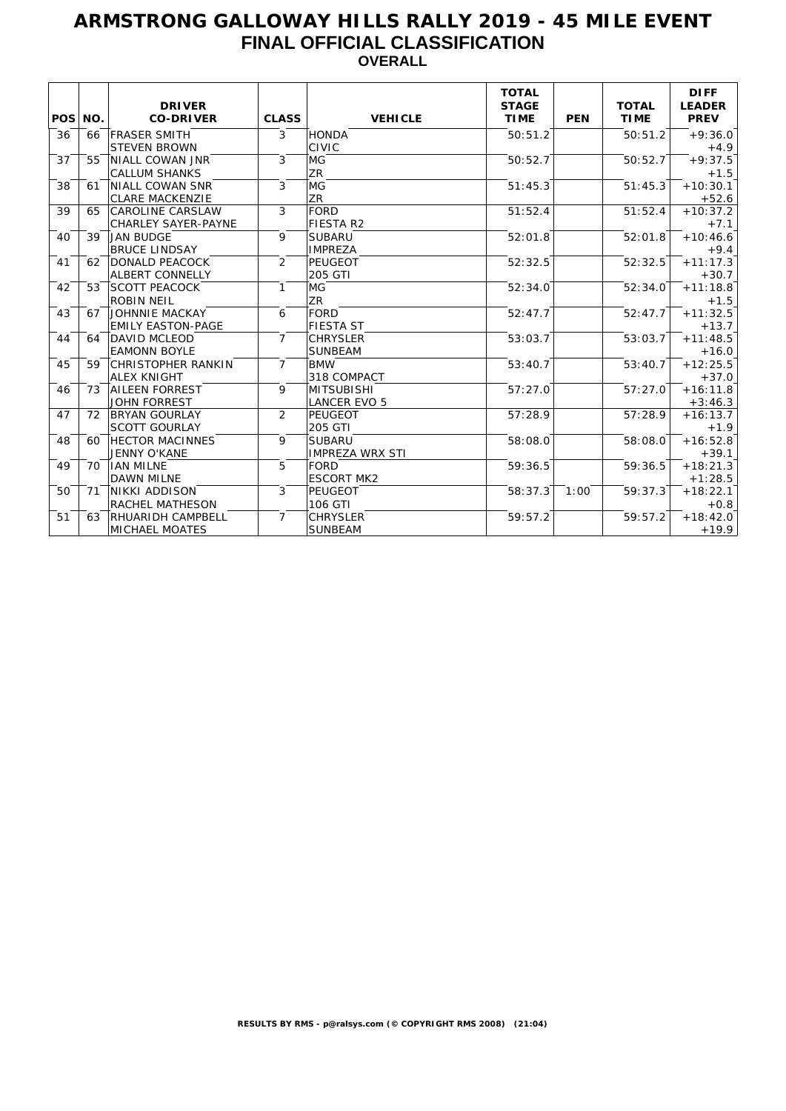### **ARMSTRONG GALLOWAY HILLS RALLY 2019 - 45 MILE EVENT FINAL OFFICIAL CLASSIFICATION OVERALL**

| POS NO. |    | <b>DRIVER</b><br><b>CO-DRIVER</b> | <b>CLASS</b>   | <b>VEHICLE</b>         | <b>TOTAL</b><br><b>STAGE</b><br><b>TIME</b> | <b>PEN</b> | <b>TOTAL</b><br><b>TIME</b> | <b>DIFF</b><br><b>LEADER</b><br><b>PREV</b> |
|---------|----|-----------------------------------|----------------|------------------------|---------------------------------------------|------------|-----------------------------|---------------------------------------------|
| 36      | 66 | <b>FRASER SMITH</b>               | 3              | HONDA                  | 50:51.2                                     |            | 50:51.2                     | $+9:36.0$                                   |
|         |    | <b>STEVEN BROWN</b>               |                | <b>CIVIC</b>           |                                             |            |                             | $+4.9$                                      |
| 37      | 55 | NIALL COWAN JNR                   | 3              | MG                     | 50:52.7                                     |            | 50:52.7                     | $+9:37.5$                                   |
|         |    | <b>CALLUM SHANKS</b>              |                | <b>ZR</b>              |                                             |            |                             | $+1.5$                                      |
| 38      | 61 | NIALL COWAN SNR                   | 3              | MG                     | 51:45.3                                     |            | 51:45.3                     | $+10:30.1$                                  |
|         |    | <b>CLARE MACKENZIE</b>            |                | ZR                     |                                             |            |                             | $+52.6$                                     |
| 39      | 65 | <b>CAROLINE CARSLAW</b>           | 3              | FORD                   | 51:52.4                                     |            | 51:52.4                     | $+10:37.2$                                  |
|         |    | <b>CHARLEY SAYER-PAYNE</b>        |                | FIESTA R2              |                                             |            |                             | $+7.1$                                      |
| 40      | 39 | <b>JAN BUDGE</b>                  | 9              | <b>SUBARU</b>          | 52:01.8                                     |            | 52:01.8                     | $+10:46.6$                                  |
|         |    | <b>BRUCE LINDSAY</b>              |                | <b>IMPREZA</b>         |                                             |            |                             | $+9.4$                                      |
| 41      | 62 | <b>DONALD PEACOCK</b>             | 2              | <b>PEUGEOT</b>         | 52:32.5                                     |            | 52:32.5                     | $+11:17.3$                                  |
|         |    | <b>ALBERT CONNELLY</b>            |                | 205 GTI                |                                             |            |                             | $+30.7$                                     |
| 42      | 53 | <b>SCOTT PEACOCK</b>              | $\mathbf{1}$   | MG                     | 52:34.0                                     |            | 52:34.0                     | $+11:18.8$                                  |
|         |    | <b>ROBIN NEIL</b>                 |                | <b>ZR</b>              |                                             |            |                             | $+1.5$                                      |
| 43      | 67 | <b>JOHNNIE MACKAY</b>             | 6              | FORD                   | 52:47.7                                     |            | 52:47.7                     | $+11:32.5$                                  |
|         |    | <b>EMILY EASTON-PAGE</b>          |                | <b>FIESTA ST</b>       |                                             |            |                             | $+13.7$                                     |
| 44      | 64 | <b>DAVID MCLEOD</b>               | $\overline{7}$ | <b>CHRYSLER</b>        | 53:03.7                                     |            | 53:03.7                     | $+11:48.5$                                  |
|         |    | <b>EAMONN BOYLE</b>               |                | <b>SUNBEAM</b>         |                                             |            |                             | $+16.0$                                     |
| 45      | 59 | <b>CHRISTOPHER RANKIN</b>         | $\overline{7}$ | <b>BMW</b>             | 53:40.7                                     |            | 53:40.7                     | $+12:25.5$                                  |
|         |    | <b>ALEX KNIGHT</b>                |                | 318 COMPACT            |                                             |            |                             | $+37.0$                                     |
| 46      | 73 | <b>AILEEN FORREST</b>             | 9              | <b>MITSUBISHI</b>      | 57:27.0                                     |            | 57:27.0                     | $+16:11.8$                                  |
|         |    | <b>JOHN FORREST</b>               |                | <b>LANCER EVO 5</b>    |                                             |            |                             | $+3:46.3$                                   |
| 47      | 72 | <b>BRYAN GOURLAY</b>              | 2              | <b>PEUGEOT</b>         | 57:28.9                                     |            | 57:28.9                     | $+16:13.7$                                  |
|         |    | <b>SCOTT GOURLAY</b>              |                | 205 GTI                |                                             |            |                             | $+1.9$                                      |
| 48      | 60 | <b>HECTOR MACINNES</b>            | 9              | <b>SUBARU</b>          | 58:08.0                                     |            | 58:08.0                     | $+16:52.8$                                  |
|         |    | JENNY O'KANE                      |                | <b>IMPREZA WRX STI</b> |                                             |            |                             | $+39.1$                                     |
| 49      | 70 | <b>IAN MILNE</b>                  | 5              | <b>FORD</b>            | 59:36.5                                     |            | 59:36.5                     | $+18:21.3$                                  |
|         |    | <b>DAWN MILNE</b>                 |                | <b>ESCORT MK2</b>      |                                             |            |                             | $+1:28.5$                                   |
| 50      | 71 | NIKKI ADDISON                     | 3              | <b>PEUGEOT</b>         | 58:37.3                                     | 1:00       | 59:37.3                     | $+18:22.1$                                  |
|         |    | <b>RACHEL MATHESON</b>            |                | 106 GTI                |                                             |            |                             | $+0.8$                                      |
| 51      | 63 | <b>RHUARIDH CAMPBELL</b>          | $\overline{7}$ | <b>CHRYSLER</b>        | 59:57.2                                     |            | 59:57.2                     | $+18:42.0$                                  |
|         |    | <b>MICHAEL MOATES</b>             |                | <b>SUNBEAM</b>         |                                             |            |                             | $+19.9$                                     |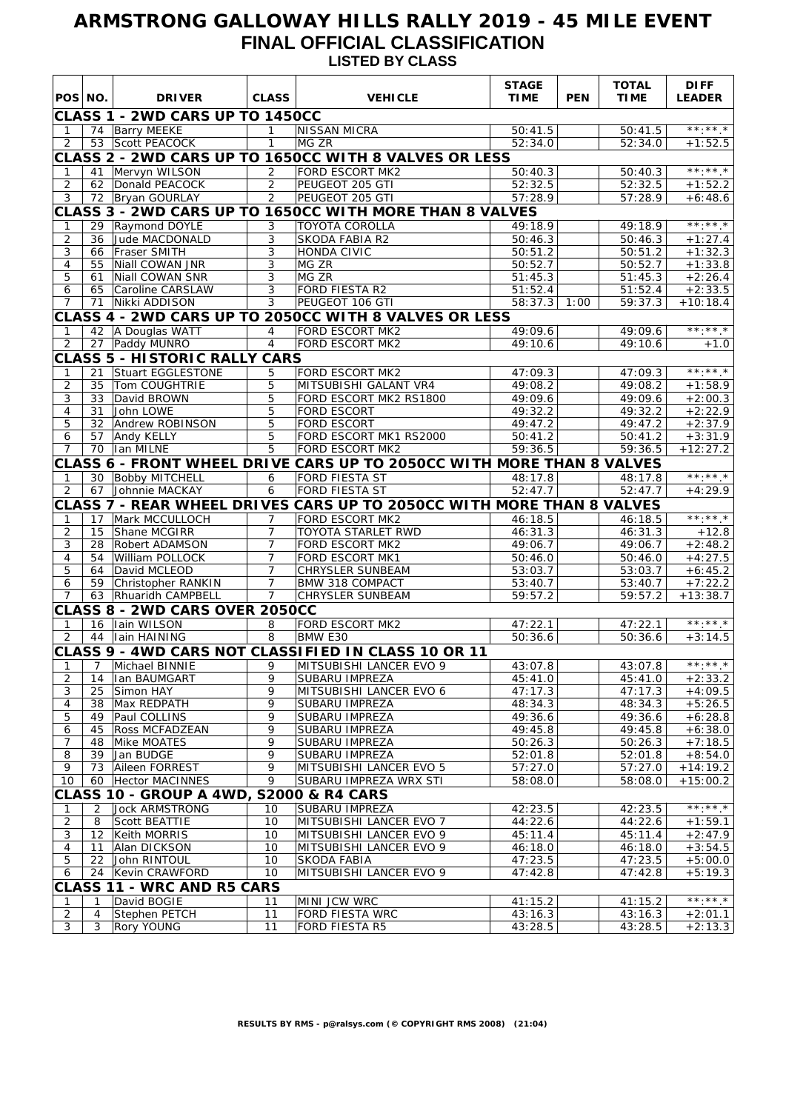## **ARMSTRONG GALLOWAY HILLS RALLY 2019 - 45 MILE EVENT FINAL OFFICIAL CLASSIFICATION LISTED BY CLASS**

| POS NO.<br><b>DRIVER</b><br><b>CLASS</b><br><b>VEHICLE</b><br><b>TIME</b><br><b>PEN</b><br><b>TIME</b><br><b>LEADER</b><br>CLASS 1 - 2WD CARS UP TO 1450CC<br>$***$ * * *<br>74 Barry MEEKE<br>$\mathbf{1}$<br><b>NISSAN MICRA</b><br>50:41.5<br>50:41.5<br>$\mathbf{1}$<br>53 Scott PEACOCK<br>$\mathbf{1}$<br>MG ZR<br>2<br>52:34.0<br>52:34.0<br>$+1:52.5$<br>CLASS 2 - 2WD CARS UP TO 1650CC WITH 8 VALVES OR LESS<br>$\star\star\star\star\star\star$<br>FORD ESCORT MK2<br>50:40.3<br>Mervyn WILSON<br>$\overline{2}$<br>50:40.3<br>41<br>1<br>$\overline{2}$<br>$\overline{2}$<br>PEUGEOT 205 GTI<br>62 Donald PEACOCK<br>52:32.5<br>52:32.5<br>$+1:52.2$<br>3<br>$\overline{2}$<br>PEUGEOT 205 GTI<br>72 Bryan GOURLAY<br>57:28.9<br>$\overline{57:28.9}$<br>$+6:48.6$<br>CLASS 3 - 2WD CARS UP TO 1650CC WITH MORE THAN 8 VALVES<br>$***.**$<br>Raymond DOYLE<br>3<br><b>TOYOTA COROLLA</b><br>49:18.9<br>49:18.9<br>29<br>1<br>$\overline{2}$<br>3<br>Jude MACDONALD<br><b>SKODA FABIA R2</b><br>50:46.3<br>50:46.3<br>36<br>$+1:27.4$<br>3<br>3<br>66   Fraser SMITH<br>HONDA CIVIC<br>50:51.2<br>50:51.2<br>$+1:32.3$<br>4<br>55<br>Niall COWAN JNR<br>3<br>MG ZR<br>50:52.7<br>50:52.7<br>$+1:33.8$<br>5<br>$\overline{3}$<br>MG ZR<br>51:45.3<br>$+2:26.4$<br>61<br>Niall COWAN SNR<br>51:45.3<br>$\overline{3}$<br>FORD FIESTA R2<br>51:52.4<br>65<br>Caroline CARSLAW<br>51:52.4<br>$+2:33.5$<br>6<br>PEUGEOT 106 GTI<br>Nikki ADDISON<br>3<br>$58:37.3$ 1:00<br>59:37.3<br>$+10:18.4$<br>$\overline{7}$<br>71<br>CLASS 4 - 2WD CARS UP TO 2050CC WITH 8 VALVES OR LESS<br>$***.**$<br><b>FORD ESCORT MK2</b><br>49:09.6<br>42 A Douglas WATT<br>$\overline{4}$<br>49:09.6<br>$\mathbf{1}$<br>$\overline{4}$<br>2<br>27   Paddy MUNRO<br><b>FORD ESCORT MK2</b><br>49:10.6<br>$\overline{49:10.6}$<br>$+1.0$<br><b>CLASS 5 - HISTORIC RALLY CARS</b><br>$\star\star\star\star\star\star$<br>21 Stuart EGGLESTONE<br>5<br><b>FORD ESCORT MK2</b><br>47:09.3<br>47:09.3<br>1<br>2<br>5<br>49:08.2<br>$+1:58.9$<br>35<br>Tom COUGHTRIE<br>MITSUBISHI GALANT VR4<br>49:08.2<br>3<br>David BROWN<br>5<br>FORD ESCORT MK2 RS1800<br>49:09.6<br>49:09.6<br>33<br>$+2:00.3$<br>$\overline{5}$<br>4<br>31<br>John LOWE<br><b>FORD ESCORT</b><br>49:32.2<br>49:32.2<br>$+2:22.9$<br>5<br>5<br><b>FORD ESCORT</b><br>32<br>Andrew ROBINSON<br>49:47.2<br>49:47.2<br>$+2:37.9$<br>$\overline{5}$<br>FORD ESCORT MK1 RS2000<br>50:41.2<br>$+3:31.9$<br>6<br>57<br>Andy KELLY<br>50:41.2<br>$\overline{5}$<br>59:36.5<br>$+12:27.2$<br>$\overline{7}$<br>70   Ian MILNE<br><b>FORD ESCORT MK2</b><br>59:36.5<br>CLASS 6 - FRONT WHEEL DRIVE CARS UP TO 2050CC WITH MORE THAN 8 VALVES<br>$\star\star\cdot\star\star\star$<br><b>FORD FIESTA ST</b><br>30 Bobby MITCHELL<br>6<br>48:17.8<br>48:17.8<br>1<br>2<br>6<br>FORD FIESTA ST<br>52:47.7<br>67 Johnnie MACKAY<br>52:47.7<br>$+4:29.9$<br>CLASS 7 - REAR WHEEL DRIVES CARS UP TO 2050CC WITH MORE THAN 8 VALVES<br>$\overline{***}\,\overline{***}\,\overline{\phantom{}}\,$<br><b>FORD ESCORT MK2</b><br>Mark MCCULLOCH<br>7 <sup>7</sup><br>46:18.5<br>46:18.5<br>$\mathbf{1}$<br>17<br>$\overline{2}$<br>Shane MCGIRR<br>$\overline{7}$<br><b>TOYOTA STARLET RWD</b><br>46:31.3<br>46:31.3<br>15<br>$+12.8$<br>3<br>Robert ADAMSON<br>$\overline{7}$<br>FORD ESCORT MK2<br>49:06.7<br>49:06.7<br>28<br>$+2:48.2$<br>7 <sup>7</sup><br>4<br>William POLLOCK<br><b>FORD ESCORT MK1</b><br>$+4:27.5$<br>54<br>50:46.0<br>50:46.0<br>$\overline{7}$<br>5<br>David MCLEOD<br>CHRYSLER SUNBEAM<br>53:03.7<br>53:03.7<br>$+6:45.2$<br>64<br>$\overline{7}$<br>6<br>59<br>Christopher RANKIN<br>BMW 318 COMPACT<br>53:40.7<br>$+7:22.2$<br>53:40.7<br>59:57.2<br>59:57.2<br>$+13:38.7$<br>$\overline{7}$<br>63 Rhuaridh CAMPBELL<br>$7^{\circ}$<br><b>CHRYSLER SUNBEAM</b><br>CLASS 8 - 2WD CARS OVER 2050CC<br>$***.**$<br>FORD ESCORT MK2<br>16 Iain WILSON<br>8<br>47:22.1<br>47:22.1<br>$\mathbf{1}$<br>2<br>44 Iain HAINING<br>8<br><b>BMW E30</b><br>50:36.6<br>50:36.6<br>$+3:14.5$<br>CLASS 9 - 4WD CARS NOT CLASSIFIED IN CLASS 10 OR 11<br>1 7 Michael BINNIE 9 MITSUBISHI LANCER EVO 9<br>43:07.8<br>43:07.8<br>$***$ * * * *<br>$\overline{2}$<br>9<br>Ian BAUMGART<br>45:41.0<br>45:41.0<br>$+2:33.2$<br>14<br>SUBARU IMPREZA<br>Simon HAY<br>47:17.3<br>3<br>9<br>MITSUBISHI LANCER EVO 6<br>47:17.3<br>$+4:09.5$<br>25<br>9<br>$+5:26.5$<br>4<br>38<br>Max REDPATH<br><b>SUBARU IMPREZA</b><br>48:34.3<br>48:34.3<br>5<br>9<br>$+6:28.8$<br>49<br>Paul COLLINS<br>SUBARU IMPREZA<br>49:36.6<br>49:36.6<br>9<br>$\overline{6}$<br>45<br><b>Ross MCFADZEAN</b><br>SUBARU IMPREZA<br>49:45.8<br>49:45.8<br>$+6:38.0$<br>$\overline{7}$<br>9<br>48<br>Mike MOATES<br>SUBARU IMPREZA<br>50:26.3<br>50:26.3<br>$+7:18.5$<br>8<br>39<br>Jan BUDGE<br>9<br>SUBARU IMPREZA<br>52:01.8<br>52:01.8<br>$+8:54.0$<br>9<br>9<br>73<br>Aileen FORREST<br>MITSUBISHI LANCER EVO 5<br>57:27.0<br>57:27.0<br>$+14:19.2$<br>9<br>10<br>60<br>Hector MACINNES<br>SUBARU IMPREZA WRX STI<br>58:08.0<br>58:08.0<br>$+15:00.2$<br><b>CLASS 10 - GROUP A 4WD, S2000 &amp; R4 CARS</b><br>**:**.*<br><b>Jock ARMSTRONG</b><br>SUBARU IMPREZA<br>42:23.5<br>2<br>10<br>42:23.5<br>-1<br>$\overline{2}$<br>8<br>Scott BEATTIE<br>10<br>MITSUBISHI LANCER EVO 7<br>44:22.6<br>44:22.6<br>$+1:59.1$<br>3<br>Keith MORRIS<br>10<br>MITSUBISHI LANCER EVO 9<br>45:11.4<br>45:11.4<br>$+2:47.9$<br>12<br>Alan DICKSON<br>4<br>11<br>10<br>MITSUBISHI LANCER EVO 9<br>46:18.0<br>46:18.0<br>$+3:54.5$<br>5<br>22<br>John RINTOUL<br>10<br><b>SKODA FABIA</b><br>47:23.5<br>47:23.5<br>$+5:00.0$<br>Kevin CRAWFORD<br>MITSUBISHI LANCER EVO 9<br>47:42.8<br>24<br>10<br>47:42.8<br>$+5:19.3$<br>6<br><b>CLASS 11 - WRC AND R5 CARS</b><br>$***.**$<br>MINI JCW WRC<br>David BOGIE<br>41:15.2<br>41:15.2<br>1<br>11<br>1<br>$\sqrt{2}$<br>Stephen PETCH<br><b>FORD FIESTA WRC</b><br>43:16.3<br>4<br>43:16.3<br>$+2:01.1$<br>11<br>3<br>3<br><b>Rory YOUNG</b><br>43:28.5<br>$+2:13.3$<br>11<br><b>FORD FIESTA R5</b><br>43:28.5 |  |  | <b>STAGE</b> | <b>TOTAL</b> | <b>DIFF</b> |
|----------------------------------------------------------------------------------------------------------------------------------------------------------------------------------------------------------------------------------------------------------------------------------------------------------------------------------------------------------------------------------------------------------------------------------------------------------------------------------------------------------------------------------------------------------------------------------------------------------------------------------------------------------------------------------------------------------------------------------------------------------------------------------------------------------------------------------------------------------------------------------------------------------------------------------------------------------------------------------------------------------------------------------------------------------------------------------------------------------------------------------------------------------------------------------------------------------------------------------------------------------------------------------------------------------------------------------------------------------------------------------------------------------------------------------------------------------------------------------------------------------------------------------------------------------------------------------------------------------------------------------------------------------------------------------------------------------------------------------------------------------------------------------------------------------------------------------------------------------------------------------------------------------------------------------------------------------------------------------------------------------------------------------------------------------------------------------------------------------------------------------------------------------------------------------------------------------------------------------------------------------------------------------------------------------------------------------------------------------------------------------------------------------------------------------------------------------------------------------------------------------------------------------------------------------------------------------------------------------------------------------------------------------------------------------------------------------------------------------------------------------------------------------------------------------------------------------------------------------------------------------------------------------------------------------------------------------------------------------------------------------------------------------------------------------------------------------------------------------------------------------------------------------------------------------------------------------------------------------------------------------------------------------------------------------------------------------------------------------------------------------------------------------------------------------------------------------------------------------------------------------------------------------------------------------------------------------------------------------------------------------------------------------------------------------------------------------------------------------------------------------------------------------------------------------------------------------------------------------------------------------------------------------------------------------------------------------------------------------------------------------------------------------------------------------------------------------------------------------------------------------------------------------------------------------------------------------------------------------------------------------------------------------------------------------------------------------------------------------------------------------------------------------------------------------------------------------------------------------------------------------------------------------------------------------------------------------------------------------------------------------------------------------------------------------------------------------------------------------------------------------------------------------------------------------------------------------------------------------------------------------------------------------------------------------------------------------------------------------------------------------------------------------------------------------------------------------------------------------------------------------------------------------------------------------------------------------------------------------------------------------------------------------------------------------------------------------------------------------------------------------------------------------------------------------------------------------------------------------------------------------------------------------------------------------------------------------------------------------------------------------------------------------------------------------------------------------------------------------------------------------------------------------------------------------------------------------------------------------------------------------------------------------------------------------------------------------------------------------------------------------------------------------------------------------------|--|--|--------------|--------------|-------------|
|                                                                                                                                                                                                                                                                                                                                                                                                                                                                                                                                                                                                                                                                                                                                                                                                                                                                                                                                                                                                                                                                                                                                                                                                                                                                                                                                                                                                                                                                                                                                                                                                                                                                                                                                                                                                                                                                                                                                                                                                                                                                                                                                                                                                                                                                                                                                                                                                                                                                                                                                                                                                                                                                                                                                                                                                                                                                                                                                                                                                                                                                                                                                                                                                                                                                                                                                                                                                                                                                                                                                                                                                                                                                                                                                                                                                                                                                                                                                                                                                                                                                                                                                                                                                                                                                                                                                                                                                                                                                                                                                                                                                                                                                                                                                                                                                                                                                                                                                                                                                                                                                                                                                                                                                                                                                                                                                                                                                                                                                                                                                                                                                                                                                                                                                                                                                                                                                                                                                                                                                                                                                |  |  |              |              |             |
|                                                                                                                                                                                                                                                                                                                                                                                                                                                                                                                                                                                                                                                                                                                                                                                                                                                                                                                                                                                                                                                                                                                                                                                                                                                                                                                                                                                                                                                                                                                                                                                                                                                                                                                                                                                                                                                                                                                                                                                                                                                                                                                                                                                                                                                                                                                                                                                                                                                                                                                                                                                                                                                                                                                                                                                                                                                                                                                                                                                                                                                                                                                                                                                                                                                                                                                                                                                                                                                                                                                                                                                                                                                                                                                                                                                                                                                                                                                                                                                                                                                                                                                                                                                                                                                                                                                                                                                                                                                                                                                                                                                                                                                                                                                                                                                                                                                                                                                                                                                                                                                                                                                                                                                                                                                                                                                                                                                                                                                                                                                                                                                                                                                                                                                                                                                                                                                                                                                                                                                                                                                                |  |  |              |              |             |
|                                                                                                                                                                                                                                                                                                                                                                                                                                                                                                                                                                                                                                                                                                                                                                                                                                                                                                                                                                                                                                                                                                                                                                                                                                                                                                                                                                                                                                                                                                                                                                                                                                                                                                                                                                                                                                                                                                                                                                                                                                                                                                                                                                                                                                                                                                                                                                                                                                                                                                                                                                                                                                                                                                                                                                                                                                                                                                                                                                                                                                                                                                                                                                                                                                                                                                                                                                                                                                                                                                                                                                                                                                                                                                                                                                                                                                                                                                                                                                                                                                                                                                                                                                                                                                                                                                                                                                                                                                                                                                                                                                                                                                                                                                                                                                                                                                                                                                                                                                                                                                                                                                                                                                                                                                                                                                                                                                                                                                                                                                                                                                                                                                                                                                                                                                                                                                                                                                                                                                                                                                                                |  |  |              |              |             |
|                                                                                                                                                                                                                                                                                                                                                                                                                                                                                                                                                                                                                                                                                                                                                                                                                                                                                                                                                                                                                                                                                                                                                                                                                                                                                                                                                                                                                                                                                                                                                                                                                                                                                                                                                                                                                                                                                                                                                                                                                                                                                                                                                                                                                                                                                                                                                                                                                                                                                                                                                                                                                                                                                                                                                                                                                                                                                                                                                                                                                                                                                                                                                                                                                                                                                                                                                                                                                                                                                                                                                                                                                                                                                                                                                                                                                                                                                                                                                                                                                                                                                                                                                                                                                                                                                                                                                                                                                                                                                                                                                                                                                                                                                                                                                                                                                                                                                                                                                                                                                                                                                                                                                                                                                                                                                                                                                                                                                                                                                                                                                                                                                                                                                                                                                                                                                                                                                                                                                                                                                                                                |  |  |              |              |             |
|                                                                                                                                                                                                                                                                                                                                                                                                                                                                                                                                                                                                                                                                                                                                                                                                                                                                                                                                                                                                                                                                                                                                                                                                                                                                                                                                                                                                                                                                                                                                                                                                                                                                                                                                                                                                                                                                                                                                                                                                                                                                                                                                                                                                                                                                                                                                                                                                                                                                                                                                                                                                                                                                                                                                                                                                                                                                                                                                                                                                                                                                                                                                                                                                                                                                                                                                                                                                                                                                                                                                                                                                                                                                                                                                                                                                                                                                                                                                                                                                                                                                                                                                                                                                                                                                                                                                                                                                                                                                                                                                                                                                                                                                                                                                                                                                                                                                                                                                                                                                                                                                                                                                                                                                                                                                                                                                                                                                                                                                                                                                                                                                                                                                                                                                                                                                                                                                                                                                                                                                                                                                |  |  |              |              |             |
|                                                                                                                                                                                                                                                                                                                                                                                                                                                                                                                                                                                                                                                                                                                                                                                                                                                                                                                                                                                                                                                                                                                                                                                                                                                                                                                                                                                                                                                                                                                                                                                                                                                                                                                                                                                                                                                                                                                                                                                                                                                                                                                                                                                                                                                                                                                                                                                                                                                                                                                                                                                                                                                                                                                                                                                                                                                                                                                                                                                                                                                                                                                                                                                                                                                                                                                                                                                                                                                                                                                                                                                                                                                                                                                                                                                                                                                                                                                                                                                                                                                                                                                                                                                                                                                                                                                                                                                                                                                                                                                                                                                                                                                                                                                                                                                                                                                                                                                                                                                                                                                                                                                                                                                                                                                                                                                                                                                                                                                                                                                                                                                                                                                                                                                                                                                                                                                                                                                                                                                                                                                                |  |  |              |              |             |
|                                                                                                                                                                                                                                                                                                                                                                                                                                                                                                                                                                                                                                                                                                                                                                                                                                                                                                                                                                                                                                                                                                                                                                                                                                                                                                                                                                                                                                                                                                                                                                                                                                                                                                                                                                                                                                                                                                                                                                                                                                                                                                                                                                                                                                                                                                                                                                                                                                                                                                                                                                                                                                                                                                                                                                                                                                                                                                                                                                                                                                                                                                                                                                                                                                                                                                                                                                                                                                                                                                                                                                                                                                                                                                                                                                                                                                                                                                                                                                                                                                                                                                                                                                                                                                                                                                                                                                                                                                                                                                                                                                                                                                                                                                                                                                                                                                                                                                                                                                                                                                                                                                                                                                                                                                                                                                                                                                                                                                                                                                                                                                                                                                                                                                                                                                                                                                                                                                                                                                                                                                                                |  |  |              |              |             |
|                                                                                                                                                                                                                                                                                                                                                                                                                                                                                                                                                                                                                                                                                                                                                                                                                                                                                                                                                                                                                                                                                                                                                                                                                                                                                                                                                                                                                                                                                                                                                                                                                                                                                                                                                                                                                                                                                                                                                                                                                                                                                                                                                                                                                                                                                                                                                                                                                                                                                                                                                                                                                                                                                                                                                                                                                                                                                                                                                                                                                                                                                                                                                                                                                                                                                                                                                                                                                                                                                                                                                                                                                                                                                                                                                                                                                                                                                                                                                                                                                                                                                                                                                                                                                                                                                                                                                                                                                                                                                                                                                                                                                                                                                                                                                                                                                                                                                                                                                                                                                                                                                                                                                                                                                                                                                                                                                                                                                                                                                                                                                                                                                                                                                                                                                                                                                                                                                                                                                                                                                                                                |  |  |              |              |             |
|                                                                                                                                                                                                                                                                                                                                                                                                                                                                                                                                                                                                                                                                                                                                                                                                                                                                                                                                                                                                                                                                                                                                                                                                                                                                                                                                                                                                                                                                                                                                                                                                                                                                                                                                                                                                                                                                                                                                                                                                                                                                                                                                                                                                                                                                                                                                                                                                                                                                                                                                                                                                                                                                                                                                                                                                                                                                                                                                                                                                                                                                                                                                                                                                                                                                                                                                                                                                                                                                                                                                                                                                                                                                                                                                                                                                                                                                                                                                                                                                                                                                                                                                                                                                                                                                                                                                                                                                                                                                                                                                                                                                                                                                                                                                                                                                                                                                                                                                                                                                                                                                                                                                                                                                                                                                                                                                                                                                                                                                                                                                                                                                                                                                                                                                                                                                                                                                                                                                                                                                                                                                |  |  |              |              |             |
|                                                                                                                                                                                                                                                                                                                                                                                                                                                                                                                                                                                                                                                                                                                                                                                                                                                                                                                                                                                                                                                                                                                                                                                                                                                                                                                                                                                                                                                                                                                                                                                                                                                                                                                                                                                                                                                                                                                                                                                                                                                                                                                                                                                                                                                                                                                                                                                                                                                                                                                                                                                                                                                                                                                                                                                                                                                                                                                                                                                                                                                                                                                                                                                                                                                                                                                                                                                                                                                                                                                                                                                                                                                                                                                                                                                                                                                                                                                                                                                                                                                                                                                                                                                                                                                                                                                                                                                                                                                                                                                                                                                                                                                                                                                                                                                                                                                                                                                                                                                                                                                                                                                                                                                                                                                                                                                                                                                                                                                                                                                                                                                                                                                                                                                                                                                                                                                                                                                                                                                                                                                                |  |  |              |              |             |
|                                                                                                                                                                                                                                                                                                                                                                                                                                                                                                                                                                                                                                                                                                                                                                                                                                                                                                                                                                                                                                                                                                                                                                                                                                                                                                                                                                                                                                                                                                                                                                                                                                                                                                                                                                                                                                                                                                                                                                                                                                                                                                                                                                                                                                                                                                                                                                                                                                                                                                                                                                                                                                                                                                                                                                                                                                                                                                                                                                                                                                                                                                                                                                                                                                                                                                                                                                                                                                                                                                                                                                                                                                                                                                                                                                                                                                                                                                                                                                                                                                                                                                                                                                                                                                                                                                                                                                                                                                                                                                                                                                                                                                                                                                                                                                                                                                                                                                                                                                                                                                                                                                                                                                                                                                                                                                                                                                                                                                                                                                                                                                                                                                                                                                                                                                                                                                                                                                                                                                                                                                                                |  |  |              |              |             |
|                                                                                                                                                                                                                                                                                                                                                                                                                                                                                                                                                                                                                                                                                                                                                                                                                                                                                                                                                                                                                                                                                                                                                                                                                                                                                                                                                                                                                                                                                                                                                                                                                                                                                                                                                                                                                                                                                                                                                                                                                                                                                                                                                                                                                                                                                                                                                                                                                                                                                                                                                                                                                                                                                                                                                                                                                                                                                                                                                                                                                                                                                                                                                                                                                                                                                                                                                                                                                                                                                                                                                                                                                                                                                                                                                                                                                                                                                                                                                                                                                                                                                                                                                                                                                                                                                                                                                                                                                                                                                                                                                                                                                                                                                                                                                                                                                                                                                                                                                                                                                                                                                                                                                                                                                                                                                                                                                                                                                                                                                                                                                                                                                                                                                                                                                                                                                                                                                                                                                                                                                                                                |  |  |              |              |             |
|                                                                                                                                                                                                                                                                                                                                                                                                                                                                                                                                                                                                                                                                                                                                                                                                                                                                                                                                                                                                                                                                                                                                                                                                                                                                                                                                                                                                                                                                                                                                                                                                                                                                                                                                                                                                                                                                                                                                                                                                                                                                                                                                                                                                                                                                                                                                                                                                                                                                                                                                                                                                                                                                                                                                                                                                                                                                                                                                                                                                                                                                                                                                                                                                                                                                                                                                                                                                                                                                                                                                                                                                                                                                                                                                                                                                                                                                                                                                                                                                                                                                                                                                                                                                                                                                                                                                                                                                                                                                                                                                                                                                                                                                                                                                                                                                                                                                                                                                                                                                                                                                                                                                                                                                                                                                                                                                                                                                                                                                                                                                                                                                                                                                                                                                                                                                                                                                                                                                                                                                                                                                |  |  |              |              |             |
|                                                                                                                                                                                                                                                                                                                                                                                                                                                                                                                                                                                                                                                                                                                                                                                                                                                                                                                                                                                                                                                                                                                                                                                                                                                                                                                                                                                                                                                                                                                                                                                                                                                                                                                                                                                                                                                                                                                                                                                                                                                                                                                                                                                                                                                                                                                                                                                                                                                                                                                                                                                                                                                                                                                                                                                                                                                                                                                                                                                                                                                                                                                                                                                                                                                                                                                                                                                                                                                                                                                                                                                                                                                                                                                                                                                                                                                                                                                                                                                                                                                                                                                                                                                                                                                                                                                                                                                                                                                                                                                                                                                                                                                                                                                                                                                                                                                                                                                                                                                                                                                                                                                                                                                                                                                                                                                                                                                                                                                                                                                                                                                                                                                                                                                                                                                                                                                                                                                                                                                                                                                                |  |  |              |              |             |
|                                                                                                                                                                                                                                                                                                                                                                                                                                                                                                                                                                                                                                                                                                                                                                                                                                                                                                                                                                                                                                                                                                                                                                                                                                                                                                                                                                                                                                                                                                                                                                                                                                                                                                                                                                                                                                                                                                                                                                                                                                                                                                                                                                                                                                                                                                                                                                                                                                                                                                                                                                                                                                                                                                                                                                                                                                                                                                                                                                                                                                                                                                                                                                                                                                                                                                                                                                                                                                                                                                                                                                                                                                                                                                                                                                                                                                                                                                                                                                                                                                                                                                                                                                                                                                                                                                                                                                                                                                                                                                                                                                                                                                                                                                                                                                                                                                                                                                                                                                                                                                                                                                                                                                                                                                                                                                                                                                                                                                                                                                                                                                                                                                                                                                                                                                                                                                                                                                                                                                                                                                                                |  |  |              |              |             |
|                                                                                                                                                                                                                                                                                                                                                                                                                                                                                                                                                                                                                                                                                                                                                                                                                                                                                                                                                                                                                                                                                                                                                                                                                                                                                                                                                                                                                                                                                                                                                                                                                                                                                                                                                                                                                                                                                                                                                                                                                                                                                                                                                                                                                                                                                                                                                                                                                                                                                                                                                                                                                                                                                                                                                                                                                                                                                                                                                                                                                                                                                                                                                                                                                                                                                                                                                                                                                                                                                                                                                                                                                                                                                                                                                                                                                                                                                                                                                                                                                                                                                                                                                                                                                                                                                                                                                                                                                                                                                                                                                                                                                                                                                                                                                                                                                                                                                                                                                                                                                                                                                                                                                                                                                                                                                                                                                                                                                                                                                                                                                                                                                                                                                                                                                                                                                                                                                                                                                                                                                                                                |  |  |              |              |             |
|                                                                                                                                                                                                                                                                                                                                                                                                                                                                                                                                                                                                                                                                                                                                                                                                                                                                                                                                                                                                                                                                                                                                                                                                                                                                                                                                                                                                                                                                                                                                                                                                                                                                                                                                                                                                                                                                                                                                                                                                                                                                                                                                                                                                                                                                                                                                                                                                                                                                                                                                                                                                                                                                                                                                                                                                                                                                                                                                                                                                                                                                                                                                                                                                                                                                                                                                                                                                                                                                                                                                                                                                                                                                                                                                                                                                                                                                                                                                                                                                                                                                                                                                                                                                                                                                                                                                                                                                                                                                                                                                                                                                                                                                                                                                                                                                                                                                                                                                                                                                                                                                                                                                                                                                                                                                                                                                                                                                                                                                                                                                                                                                                                                                                                                                                                                                                                                                                                                                                                                                                                                                |  |  |              |              |             |
|                                                                                                                                                                                                                                                                                                                                                                                                                                                                                                                                                                                                                                                                                                                                                                                                                                                                                                                                                                                                                                                                                                                                                                                                                                                                                                                                                                                                                                                                                                                                                                                                                                                                                                                                                                                                                                                                                                                                                                                                                                                                                                                                                                                                                                                                                                                                                                                                                                                                                                                                                                                                                                                                                                                                                                                                                                                                                                                                                                                                                                                                                                                                                                                                                                                                                                                                                                                                                                                                                                                                                                                                                                                                                                                                                                                                                                                                                                                                                                                                                                                                                                                                                                                                                                                                                                                                                                                                                                                                                                                                                                                                                                                                                                                                                                                                                                                                                                                                                                                                                                                                                                                                                                                                                                                                                                                                                                                                                                                                                                                                                                                                                                                                                                                                                                                                                                                                                                                                                                                                                                                                |  |  |              |              |             |
|                                                                                                                                                                                                                                                                                                                                                                                                                                                                                                                                                                                                                                                                                                                                                                                                                                                                                                                                                                                                                                                                                                                                                                                                                                                                                                                                                                                                                                                                                                                                                                                                                                                                                                                                                                                                                                                                                                                                                                                                                                                                                                                                                                                                                                                                                                                                                                                                                                                                                                                                                                                                                                                                                                                                                                                                                                                                                                                                                                                                                                                                                                                                                                                                                                                                                                                                                                                                                                                                                                                                                                                                                                                                                                                                                                                                                                                                                                                                                                                                                                                                                                                                                                                                                                                                                                                                                                                                                                                                                                                                                                                                                                                                                                                                                                                                                                                                                                                                                                                                                                                                                                                                                                                                                                                                                                                                                                                                                                                                                                                                                                                                                                                                                                                                                                                                                                                                                                                                                                                                                                                                |  |  |              |              |             |
|                                                                                                                                                                                                                                                                                                                                                                                                                                                                                                                                                                                                                                                                                                                                                                                                                                                                                                                                                                                                                                                                                                                                                                                                                                                                                                                                                                                                                                                                                                                                                                                                                                                                                                                                                                                                                                                                                                                                                                                                                                                                                                                                                                                                                                                                                                                                                                                                                                                                                                                                                                                                                                                                                                                                                                                                                                                                                                                                                                                                                                                                                                                                                                                                                                                                                                                                                                                                                                                                                                                                                                                                                                                                                                                                                                                                                                                                                                                                                                                                                                                                                                                                                                                                                                                                                                                                                                                                                                                                                                                                                                                                                                                                                                                                                                                                                                                                                                                                                                                                                                                                                                                                                                                                                                                                                                                                                                                                                                                                                                                                                                                                                                                                                                                                                                                                                                                                                                                                                                                                                                                                |  |  |              |              |             |
|                                                                                                                                                                                                                                                                                                                                                                                                                                                                                                                                                                                                                                                                                                                                                                                                                                                                                                                                                                                                                                                                                                                                                                                                                                                                                                                                                                                                                                                                                                                                                                                                                                                                                                                                                                                                                                                                                                                                                                                                                                                                                                                                                                                                                                                                                                                                                                                                                                                                                                                                                                                                                                                                                                                                                                                                                                                                                                                                                                                                                                                                                                                                                                                                                                                                                                                                                                                                                                                                                                                                                                                                                                                                                                                                                                                                                                                                                                                                                                                                                                                                                                                                                                                                                                                                                                                                                                                                                                                                                                                                                                                                                                                                                                                                                                                                                                                                                                                                                                                                                                                                                                                                                                                                                                                                                                                                                                                                                                                                                                                                                                                                                                                                                                                                                                                                                                                                                                                                                                                                                                                                |  |  |              |              |             |
|                                                                                                                                                                                                                                                                                                                                                                                                                                                                                                                                                                                                                                                                                                                                                                                                                                                                                                                                                                                                                                                                                                                                                                                                                                                                                                                                                                                                                                                                                                                                                                                                                                                                                                                                                                                                                                                                                                                                                                                                                                                                                                                                                                                                                                                                                                                                                                                                                                                                                                                                                                                                                                                                                                                                                                                                                                                                                                                                                                                                                                                                                                                                                                                                                                                                                                                                                                                                                                                                                                                                                                                                                                                                                                                                                                                                                                                                                                                                                                                                                                                                                                                                                                                                                                                                                                                                                                                                                                                                                                                                                                                                                                                                                                                                                                                                                                                                                                                                                                                                                                                                                                                                                                                                                                                                                                                                                                                                                                                                                                                                                                                                                                                                                                                                                                                                                                                                                                                                                                                                                                                                |  |  |              |              |             |
|                                                                                                                                                                                                                                                                                                                                                                                                                                                                                                                                                                                                                                                                                                                                                                                                                                                                                                                                                                                                                                                                                                                                                                                                                                                                                                                                                                                                                                                                                                                                                                                                                                                                                                                                                                                                                                                                                                                                                                                                                                                                                                                                                                                                                                                                                                                                                                                                                                                                                                                                                                                                                                                                                                                                                                                                                                                                                                                                                                                                                                                                                                                                                                                                                                                                                                                                                                                                                                                                                                                                                                                                                                                                                                                                                                                                                                                                                                                                                                                                                                                                                                                                                                                                                                                                                                                                                                                                                                                                                                                                                                                                                                                                                                                                                                                                                                                                                                                                                                                                                                                                                                                                                                                                                                                                                                                                                                                                                                                                                                                                                                                                                                                                                                                                                                                                                                                                                                                                                                                                                                                                |  |  |              |              |             |
|                                                                                                                                                                                                                                                                                                                                                                                                                                                                                                                                                                                                                                                                                                                                                                                                                                                                                                                                                                                                                                                                                                                                                                                                                                                                                                                                                                                                                                                                                                                                                                                                                                                                                                                                                                                                                                                                                                                                                                                                                                                                                                                                                                                                                                                                                                                                                                                                                                                                                                                                                                                                                                                                                                                                                                                                                                                                                                                                                                                                                                                                                                                                                                                                                                                                                                                                                                                                                                                                                                                                                                                                                                                                                                                                                                                                                                                                                                                                                                                                                                                                                                                                                                                                                                                                                                                                                                                                                                                                                                                                                                                                                                                                                                                                                                                                                                                                                                                                                                                                                                                                                                                                                                                                                                                                                                                                                                                                                                                                                                                                                                                                                                                                                                                                                                                                                                                                                                                                                                                                                                                                |  |  |              |              |             |
|                                                                                                                                                                                                                                                                                                                                                                                                                                                                                                                                                                                                                                                                                                                                                                                                                                                                                                                                                                                                                                                                                                                                                                                                                                                                                                                                                                                                                                                                                                                                                                                                                                                                                                                                                                                                                                                                                                                                                                                                                                                                                                                                                                                                                                                                                                                                                                                                                                                                                                                                                                                                                                                                                                                                                                                                                                                                                                                                                                                                                                                                                                                                                                                                                                                                                                                                                                                                                                                                                                                                                                                                                                                                                                                                                                                                                                                                                                                                                                                                                                                                                                                                                                                                                                                                                                                                                                                                                                                                                                                                                                                                                                                                                                                                                                                                                                                                                                                                                                                                                                                                                                                                                                                                                                                                                                                                                                                                                                                                                                                                                                                                                                                                                                                                                                                                                                                                                                                                                                                                                                                                |  |  |              |              |             |
|                                                                                                                                                                                                                                                                                                                                                                                                                                                                                                                                                                                                                                                                                                                                                                                                                                                                                                                                                                                                                                                                                                                                                                                                                                                                                                                                                                                                                                                                                                                                                                                                                                                                                                                                                                                                                                                                                                                                                                                                                                                                                                                                                                                                                                                                                                                                                                                                                                                                                                                                                                                                                                                                                                                                                                                                                                                                                                                                                                                                                                                                                                                                                                                                                                                                                                                                                                                                                                                                                                                                                                                                                                                                                                                                                                                                                                                                                                                                                                                                                                                                                                                                                                                                                                                                                                                                                                                                                                                                                                                                                                                                                                                                                                                                                                                                                                                                                                                                                                                                                                                                                                                                                                                                                                                                                                                                                                                                                                                                                                                                                                                                                                                                                                                                                                                                                                                                                                                                                                                                                                                                |  |  |              |              |             |
|                                                                                                                                                                                                                                                                                                                                                                                                                                                                                                                                                                                                                                                                                                                                                                                                                                                                                                                                                                                                                                                                                                                                                                                                                                                                                                                                                                                                                                                                                                                                                                                                                                                                                                                                                                                                                                                                                                                                                                                                                                                                                                                                                                                                                                                                                                                                                                                                                                                                                                                                                                                                                                                                                                                                                                                                                                                                                                                                                                                                                                                                                                                                                                                                                                                                                                                                                                                                                                                                                                                                                                                                                                                                                                                                                                                                                                                                                                                                                                                                                                                                                                                                                                                                                                                                                                                                                                                                                                                                                                                                                                                                                                                                                                                                                                                                                                                                                                                                                                                                                                                                                                                                                                                                                                                                                                                                                                                                                                                                                                                                                                                                                                                                                                                                                                                                                                                                                                                                                                                                                                                                |  |  |              |              |             |
|                                                                                                                                                                                                                                                                                                                                                                                                                                                                                                                                                                                                                                                                                                                                                                                                                                                                                                                                                                                                                                                                                                                                                                                                                                                                                                                                                                                                                                                                                                                                                                                                                                                                                                                                                                                                                                                                                                                                                                                                                                                                                                                                                                                                                                                                                                                                                                                                                                                                                                                                                                                                                                                                                                                                                                                                                                                                                                                                                                                                                                                                                                                                                                                                                                                                                                                                                                                                                                                                                                                                                                                                                                                                                                                                                                                                                                                                                                                                                                                                                                                                                                                                                                                                                                                                                                                                                                                                                                                                                                                                                                                                                                                                                                                                                                                                                                                                                                                                                                                                                                                                                                                                                                                                                                                                                                                                                                                                                                                                                                                                                                                                                                                                                                                                                                                                                                                                                                                                                                                                                                                                |  |  |              |              |             |
|                                                                                                                                                                                                                                                                                                                                                                                                                                                                                                                                                                                                                                                                                                                                                                                                                                                                                                                                                                                                                                                                                                                                                                                                                                                                                                                                                                                                                                                                                                                                                                                                                                                                                                                                                                                                                                                                                                                                                                                                                                                                                                                                                                                                                                                                                                                                                                                                                                                                                                                                                                                                                                                                                                                                                                                                                                                                                                                                                                                                                                                                                                                                                                                                                                                                                                                                                                                                                                                                                                                                                                                                                                                                                                                                                                                                                                                                                                                                                                                                                                                                                                                                                                                                                                                                                                                                                                                                                                                                                                                                                                                                                                                                                                                                                                                                                                                                                                                                                                                                                                                                                                                                                                                                                                                                                                                                                                                                                                                                                                                                                                                                                                                                                                                                                                                                                                                                                                                                                                                                                                                                |  |  |              |              |             |
|                                                                                                                                                                                                                                                                                                                                                                                                                                                                                                                                                                                                                                                                                                                                                                                                                                                                                                                                                                                                                                                                                                                                                                                                                                                                                                                                                                                                                                                                                                                                                                                                                                                                                                                                                                                                                                                                                                                                                                                                                                                                                                                                                                                                                                                                                                                                                                                                                                                                                                                                                                                                                                                                                                                                                                                                                                                                                                                                                                                                                                                                                                                                                                                                                                                                                                                                                                                                                                                                                                                                                                                                                                                                                                                                                                                                                                                                                                                                                                                                                                                                                                                                                                                                                                                                                                                                                                                                                                                                                                                                                                                                                                                                                                                                                                                                                                                                                                                                                                                                                                                                                                                                                                                                                                                                                                                                                                                                                                                                                                                                                                                                                                                                                                                                                                                                                                                                                                                                                                                                                                                                |  |  |              |              |             |
|                                                                                                                                                                                                                                                                                                                                                                                                                                                                                                                                                                                                                                                                                                                                                                                                                                                                                                                                                                                                                                                                                                                                                                                                                                                                                                                                                                                                                                                                                                                                                                                                                                                                                                                                                                                                                                                                                                                                                                                                                                                                                                                                                                                                                                                                                                                                                                                                                                                                                                                                                                                                                                                                                                                                                                                                                                                                                                                                                                                                                                                                                                                                                                                                                                                                                                                                                                                                                                                                                                                                                                                                                                                                                                                                                                                                                                                                                                                                                                                                                                                                                                                                                                                                                                                                                                                                                                                                                                                                                                                                                                                                                                                                                                                                                                                                                                                                                                                                                                                                                                                                                                                                                                                                                                                                                                                                                                                                                                                                                                                                                                                                                                                                                                                                                                                                                                                                                                                                                                                                                                                                |  |  |              |              |             |
|                                                                                                                                                                                                                                                                                                                                                                                                                                                                                                                                                                                                                                                                                                                                                                                                                                                                                                                                                                                                                                                                                                                                                                                                                                                                                                                                                                                                                                                                                                                                                                                                                                                                                                                                                                                                                                                                                                                                                                                                                                                                                                                                                                                                                                                                                                                                                                                                                                                                                                                                                                                                                                                                                                                                                                                                                                                                                                                                                                                                                                                                                                                                                                                                                                                                                                                                                                                                                                                                                                                                                                                                                                                                                                                                                                                                                                                                                                                                                                                                                                                                                                                                                                                                                                                                                                                                                                                                                                                                                                                                                                                                                                                                                                                                                                                                                                                                                                                                                                                                                                                                                                                                                                                                                                                                                                                                                                                                                                                                                                                                                                                                                                                                                                                                                                                                                                                                                                                                                                                                                                                                |  |  |              |              |             |
|                                                                                                                                                                                                                                                                                                                                                                                                                                                                                                                                                                                                                                                                                                                                                                                                                                                                                                                                                                                                                                                                                                                                                                                                                                                                                                                                                                                                                                                                                                                                                                                                                                                                                                                                                                                                                                                                                                                                                                                                                                                                                                                                                                                                                                                                                                                                                                                                                                                                                                                                                                                                                                                                                                                                                                                                                                                                                                                                                                                                                                                                                                                                                                                                                                                                                                                                                                                                                                                                                                                                                                                                                                                                                                                                                                                                                                                                                                                                                                                                                                                                                                                                                                                                                                                                                                                                                                                                                                                                                                                                                                                                                                                                                                                                                                                                                                                                                                                                                                                                                                                                                                                                                                                                                                                                                                                                                                                                                                                                                                                                                                                                                                                                                                                                                                                                                                                                                                                                                                                                                                                                |  |  |              |              |             |
|                                                                                                                                                                                                                                                                                                                                                                                                                                                                                                                                                                                                                                                                                                                                                                                                                                                                                                                                                                                                                                                                                                                                                                                                                                                                                                                                                                                                                                                                                                                                                                                                                                                                                                                                                                                                                                                                                                                                                                                                                                                                                                                                                                                                                                                                                                                                                                                                                                                                                                                                                                                                                                                                                                                                                                                                                                                                                                                                                                                                                                                                                                                                                                                                                                                                                                                                                                                                                                                                                                                                                                                                                                                                                                                                                                                                                                                                                                                                                                                                                                                                                                                                                                                                                                                                                                                                                                                                                                                                                                                                                                                                                                                                                                                                                                                                                                                                                                                                                                                                                                                                                                                                                                                                                                                                                                                                                                                                                                                                                                                                                                                                                                                                                                                                                                                                                                                                                                                                                                                                                                                                |  |  |              |              |             |
|                                                                                                                                                                                                                                                                                                                                                                                                                                                                                                                                                                                                                                                                                                                                                                                                                                                                                                                                                                                                                                                                                                                                                                                                                                                                                                                                                                                                                                                                                                                                                                                                                                                                                                                                                                                                                                                                                                                                                                                                                                                                                                                                                                                                                                                                                                                                                                                                                                                                                                                                                                                                                                                                                                                                                                                                                                                                                                                                                                                                                                                                                                                                                                                                                                                                                                                                                                                                                                                                                                                                                                                                                                                                                                                                                                                                                                                                                                                                                                                                                                                                                                                                                                                                                                                                                                                                                                                                                                                                                                                                                                                                                                                                                                                                                                                                                                                                                                                                                                                                                                                                                                                                                                                                                                                                                                                                                                                                                                                                                                                                                                                                                                                                                                                                                                                                                                                                                                                                                                                                                                                                |  |  |              |              |             |
|                                                                                                                                                                                                                                                                                                                                                                                                                                                                                                                                                                                                                                                                                                                                                                                                                                                                                                                                                                                                                                                                                                                                                                                                                                                                                                                                                                                                                                                                                                                                                                                                                                                                                                                                                                                                                                                                                                                                                                                                                                                                                                                                                                                                                                                                                                                                                                                                                                                                                                                                                                                                                                                                                                                                                                                                                                                                                                                                                                                                                                                                                                                                                                                                                                                                                                                                                                                                                                                                                                                                                                                                                                                                                                                                                                                                                                                                                                                                                                                                                                                                                                                                                                                                                                                                                                                                                                                                                                                                                                                                                                                                                                                                                                                                                                                                                                                                                                                                                                                                                                                                                                                                                                                                                                                                                                                                                                                                                                                                                                                                                                                                                                                                                                                                                                                                                                                                                                                                                                                                                                                                |  |  |              |              |             |
|                                                                                                                                                                                                                                                                                                                                                                                                                                                                                                                                                                                                                                                                                                                                                                                                                                                                                                                                                                                                                                                                                                                                                                                                                                                                                                                                                                                                                                                                                                                                                                                                                                                                                                                                                                                                                                                                                                                                                                                                                                                                                                                                                                                                                                                                                                                                                                                                                                                                                                                                                                                                                                                                                                                                                                                                                                                                                                                                                                                                                                                                                                                                                                                                                                                                                                                                                                                                                                                                                                                                                                                                                                                                                                                                                                                                                                                                                                                                                                                                                                                                                                                                                                                                                                                                                                                                                                                                                                                                                                                                                                                                                                                                                                                                                                                                                                                                                                                                                                                                                                                                                                                                                                                                                                                                                                                                                                                                                                                                                                                                                                                                                                                                                                                                                                                                                                                                                                                                                                                                                                                                |  |  |              |              |             |
|                                                                                                                                                                                                                                                                                                                                                                                                                                                                                                                                                                                                                                                                                                                                                                                                                                                                                                                                                                                                                                                                                                                                                                                                                                                                                                                                                                                                                                                                                                                                                                                                                                                                                                                                                                                                                                                                                                                                                                                                                                                                                                                                                                                                                                                                                                                                                                                                                                                                                                                                                                                                                                                                                                                                                                                                                                                                                                                                                                                                                                                                                                                                                                                                                                                                                                                                                                                                                                                                                                                                                                                                                                                                                                                                                                                                                                                                                                                                                                                                                                                                                                                                                                                                                                                                                                                                                                                                                                                                                                                                                                                                                                                                                                                                                                                                                                                                                                                                                                                                                                                                                                                                                                                                                                                                                                                                                                                                                                                                                                                                                                                                                                                                                                                                                                                                                                                                                                                                                                                                                                                                |  |  |              |              |             |
|                                                                                                                                                                                                                                                                                                                                                                                                                                                                                                                                                                                                                                                                                                                                                                                                                                                                                                                                                                                                                                                                                                                                                                                                                                                                                                                                                                                                                                                                                                                                                                                                                                                                                                                                                                                                                                                                                                                                                                                                                                                                                                                                                                                                                                                                                                                                                                                                                                                                                                                                                                                                                                                                                                                                                                                                                                                                                                                                                                                                                                                                                                                                                                                                                                                                                                                                                                                                                                                                                                                                                                                                                                                                                                                                                                                                                                                                                                                                                                                                                                                                                                                                                                                                                                                                                                                                                                                                                                                                                                                                                                                                                                                                                                                                                                                                                                                                                                                                                                                                                                                                                                                                                                                                                                                                                                                                                                                                                                                                                                                                                                                                                                                                                                                                                                                                                                                                                                                                                                                                                                                                |  |  |              |              |             |
|                                                                                                                                                                                                                                                                                                                                                                                                                                                                                                                                                                                                                                                                                                                                                                                                                                                                                                                                                                                                                                                                                                                                                                                                                                                                                                                                                                                                                                                                                                                                                                                                                                                                                                                                                                                                                                                                                                                                                                                                                                                                                                                                                                                                                                                                                                                                                                                                                                                                                                                                                                                                                                                                                                                                                                                                                                                                                                                                                                                                                                                                                                                                                                                                                                                                                                                                                                                                                                                                                                                                                                                                                                                                                                                                                                                                                                                                                                                                                                                                                                                                                                                                                                                                                                                                                                                                                                                                                                                                                                                                                                                                                                                                                                                                                                                                                                                                                                                                                                                                                                                                                                                                                                                                                                                                                                                                                                                                                                                                                                                                                                                                                                                                                                                                                                                                                                                                                                                                                                                                                                                                |  |  |              |              |             |
|                                                                                                                                                                                                                                                                                                                                                                                                                                                                                                                                                                                                                                                                                                                                                                                                                                                                                                                                                                                                                                                                                                                                                                                                                                                                                                                                                                                                                                                                                                                                                                                                                                                                                                                                                                                                                                                                                                                                                                                                                                                                                                                                                                                                                                                                                                                                                                                                                                                                                                                                                                                                                                                                                                                                                                                                                                                                                                                                                                                                                                                                                                                                                                                                                                                                                                                                                                                                                                                                                                                                                                                                                                                                                                                                                                                                                                                                                                                                                                                                                                                                                                                                                                                                                                                                                                                                                                                                                                                                                                                                                                                                                                                                                                                                                                                                                                                                                                                                                                                                                                                                                                                                                                                                                                                                                                                                                                                                                                                                                                                                                                                                                                                                                                                                                                                                                                                                                                                                                                                                                                                                |  |  |              |              |             |
|                                                                                                                                                                                                                                                                                                                                                                                                                                                                                                                                                                                                                                                                                                                                                                                                                                                                                                                                                                                                                                                                                                                                                                                                                                                                                                                                                                                                                                                                                                                                                                                                                                                                                                                                                                                                                                                                                                                                                                                                                                                                                                                                                                                                                                                                                                                                                                                                                                                                                                                                                                                                                                                                                                                                                                                                                                                                                                                                                                                                                                                                                                                                                                                                                                                                                                                                                                                                                                                                                                                                                                                                                                                                                                                                                                                                                                                                                                                                                                                                                                                                                                                                                                                                                                                                                                                                                                                                                                                                                                                                                                                                                                                                                                                                                                                                                                                                                                                                                                                                                                                                                                                                                                                                                                                                                                                                                                                                                                                                                                                                                                                                                                                                                                                                                                                                                                                                                                                                                                                                                                                                |  |  |              |              |             |
|                                                                                                                                                                                                                                                                                                                                                                                                                                                                                                                                                                                                                                                                                                                                                                                                                                                                                                                                                                                                                                                                                                                                                                                                                                                                                                                                                                                                                                                                                                                                                                                                                                                                                                                                                                                                                                                                                                                                                                                                                                                                                                                                                                                                                                                                                                                                                                                                                                                                                                                                                                                                                                                                                                                                                                                                                                                                                                                                                                                                                                                                                                                                                                                                                                                                                                                                                                                                                                                                                                                                                                                                                                                                                                                                                                                                                                                                                                                                                                                                                                                                                                                                                                                                                                                                                                                                                                                                                                                                                                                                                                                                                                                                                                                                                                                                                                                                                                                                                                                                                                                                                                                                                                                                                                                                                                                                                                                                                                                                                                                                                                                                                                                                                                                                                                                                                                                                                                                                                                                                                                                                |  |  |              |              |             |
|                                                                                                                                                                                                                                                                                                                                                                                                                                                                                                                                                                                                                                                                                                                                                                                                                                                                                                                                                                                                                                                                                                                                                                                                                                                                                                                                                                                                                                                                                                                                                                                                                                                                                                                                                                                                                                                                                                                                                                                                                                                                                                                                                                                                                                                                                                                                                                                                                                                                                                                                                                                                                                                                                                                                                                                                                                                                                                                                                                                                                                                                                                                                                                                                                                                                                                                                                                                                                                                                                                                                                                                                                                                                                                                                                                                                                                                                                                                                                                                                                                                                                                                                                                                                                                                                                                                                                                                                                                                                                                                                                                                                                                                                                                                                                                                                                                                                                                                                                                                                                                                                                                                                                                                                                                                                                                                                                                                                                                                                                                                                                                                                                                                                                                                                                                                                                                                                                                                                                                                                                                                                |  |  |              |              |             |
|                                                                                                                                                                                                                                                                                                                                                                                                                                                                                                                                                                                                                                                                                                                                                                                                                                                                                                                                                                                                                                                                                                                                                                                                                                                                                                                                                                                                                                                                                                                                                                                                                                                                                                                                                                                                                                                                                                                                                                                                                                                                                                                                                                                                                                                                                                                                                                                                                                                                                                                                                                                                                                                                                                                                                                                                                                                                                                                                                                                                                                                                                                                                                                                                                                                                                                                                                                                                                                                                                                                                                                                                                                                                                                                                                                                                                                                                                                                                                                                                                                                                                                                                                                                                                                                                                                                                                                                                                                                                                                                                                                                                                                                                                                                                                                                                                                                                                                                                                                                                                                                                                                                                                                                                                                                                                                                                                                                                                                                                                                                                                                                                                                                                                                                                                                                                                                                                                                                                                                                                                                                                |  |  |              |              |             |
|                                                                                                                                                                                                                                                                                                                                                                                                                                                                                                                                                                                                                                                                                                                                                                                                                                                                                                                                                                                                                                                                                                                                                                                                                                                                                                                                                                                                                                                                                                                                                                                                                                                                                                                                                                                                                                                                                                                                                                                                                                                                                                                                                                                                                                                                                                                                                                                                                                                                                                                                                                                                                                                                                                                                                                                                                                                                                                                                                                                                                                                                                                                                                                                                                                                                                                                                                                                                                                                                                                                                                                                                                                                                                                                                                                                                                                                                                                                                                                                                                                                                                                                                                                                                                                                                                                                                                                                                                                                                                                                                                                                                                                                                                                                                                                                                                                                                                                                                                                                                                                                                                                                                                                                                                                                                                                                                                                                                                                                                                                                                                                                                                                                                                                                                                                                                                                                                                                                                                                                                                                                                |  |  |              |              |             |
|                                                                                                                                                                                                                                                                                                                                                                                                                                                                                                                                                                                                                                                                                                                                                                                                                                                                                                                                                                                                                                                                                                                                                                                                                                                                                                                                                                                                                                                                                                                                                                                                                                                                                                                                                                                                                                                                                                                                                                                                                                                                                                                                                                                                                                                                                                                                                                                                                                                                                                                                                                                                                                                                                                                                                                                                                                                                                                                                                                                                                                                                                                                                                                                                                                                                                                                                                                                                                                                                                                                                                                                                                                                                                                                                                                                                                                                                                                                                                                                                                                                                                                                                                                                                                                                                                                                                                                                                                                                                                                                                                                                                                                                                                                                                                                                                                                                                                                                                                                                                                                                                                                                                                                                                                                                                                                                                                                                                                                                                                                                                                                                                                                                                                                                                                                                                                                                                                                                                                                                                                                                                |  |  |              |              |             |
|                                                                                                                                                                                                                                                                                                                                                                                                                                                                                                                                                                                                                                                                                                                                                                                                                                                                                                                                                                                                                                                                                                                                                                                                                                                                                                                                                                                                                                                                                                                                                                                                                                                                                                                                                                                                                                                                                                                                                                                                                                                                                                                                                                                                                                                                                                                                                                                                                                                                                                                                                                                                                                                                                                                                                                                                                                                                                                                                                                                                                                                                                                                                                                                                                                                                                                                                                                                                                                                                                                                                                                                                                                                                                                                                                                                                                                                                                                                                                                                                                                                                                                                                                                                                                                                                                                                                                                                                                                                                                                                                                                                                                                                                                                                                                                                                                                                                                                                                                                                                                                                                                                                                                                                                                                                                                                                                                                                                                                                                                                                                                                                                                                                                                                                                                                                                                                                                                                                                                                                                                                                                |  |  |              |              |             |
|                                                                                                                                                                                                                                                                                                                                                                                                                                                                                                                                                                                                                                                                                                                                                                                                                                                                                                                                                                                                                                                                                                                                                                                                                                                                                                                                                                                                                                                                                                                                                                                                                                                                                                                                                                                                                                                                                                                                                                                                                                                                                                                                                                                                                                                                                                                                                                                                                                                                                                                                                                                                                                                                                                                                                                                                                                                                                                                                                                                                                                                                                                                                                                                                                                                                                                                                                                                                                                                                                                                                                                                                                                                                                                                                                                                                                                                                                                                                                                                                                                                                                                                                                                                                                                                                                                                                                                                                                                                                                                                                                                                                                                                                                                                                                                                                                                                                                                                                                                                                                                                                                                                                                                                                                                                                                                                                                                                                                                                                                                                                                                                                                                                                                                                                                                                                                                                                                                                                                                                                                                                                |  |  |              |              |             |
|                                                                                                                                                                                                                                                                                                                                                                                                                                                                                                                                                                                                                                                                                                                                                                                                                                                                                                                                                                                                                                                                                                                                                                                                                                                                                                                                                                                                                                                                                                                                                                                                                                                                                                                                                                                                                                                                                                                                                                                                                                                                                                                                                                                                                                                                                                                                                                                                                                                                                                                                                                                                                                                                                                                                                                                                                                                                                                                                                                                                                                                                                                                                                                                                                                                                                                                                                                                                                                                                                                                                                                                                                                                                                                                                                                                                                                                                                                                                                                                                                                                                                                                                                                                                                                                                                                                                                                                                                                                                                                                                                                                                                                                                                                                                                                                                                                                                                                                                                                                                                                                                                                                                                                                                                                                                                                                                                                                                                                                                                                                                                                                                                                                                                                                                                                                                                                                                                                                                                                                                                                                                |  |  |              |              |             |
|                                                                                                                                                                                                                                                                                                                                                                                                                                                                                                                                                                                                                                                                                                                                                                                                                                                                                                                                                                                                                                                                                                                                                                                                                                                                                                                                                                                                                                                                                                                                                                                                                                                                                                                                                                                                                                                                                                                                                                                                                                                                                                                                                                                                                                                                                                                                                                                                                                                                                                                                                                                                                                                                                                                                                                                                                                                                                                                                                                                                                                                                                                                                                                                                                                                                                                                                                                                                                                                                                                                                                                                                                                                                                                                                                                                                                                                                                                                                                                                                                                                                                                                                                                                                                                                                                                                                                                                                                                                                                                                                                                                                                                                                                                                                                                                                                                                                                                                                                                                                                                                                                                                                                                                                                                                                                                                                                                                                                                                                                                                                                                                                                                                                                                                                                                                                                                                                                                                                                                                                                                                                |  |  |              |              |             |
|                                                                                                                                                                                                                                                                                                                                                                                                                                                                                                                                                                                                                                                                                                                                                                                                                                                                                                                                                                                                                                                                                                                                                                                                                                                                                                                                                                                                                                                                                                                                                                                                                                                                                                                                                                                                                                                                                                                                                                                                                                                                                                                                                                                                                                                                                                                                                                                                                                                                                                                                                                                                                                                                                                                                                                                                                                                                                                                                                                                                                                                                                                                                                                                                                                                                                                                                                                                                                                                                                                                                                                                                                                                                                                                                                                                                                                                                                                                                                                                                                                                                                                                                                                                                                                                                                                                                                                                                                                                                                                                                                                                                                                                                                                                                                                                                                                                                                                                                                                                                                                                                                                                                                                                                                                                                                                                                                                                                                                                                                                                                                                                                                                                                                                                                                                                                                                                                                                                                                                                                                                                                |  |  |              |              |             |
|                                                                                                                                                                                                                                                                                                                                                                                                                                                                                                                                                                                                                                                                                                                                                                                                                                                                                                                                                                                                                                                                                                                                                                                                                                                                                                                                                                                                                                                                                                                                                                                                                                                                                                                                                                                                                                                                                                                                                                                                                                                                                                                                                                                                                                                                                                                                                                                                                                                                                                                                                                                                                                                                                                                                                                                                                                                                                                                                                                                                                                                                                                                                                                                                                                                                                                                                                                                                                                                                                                                                                                                                                                                                                                                                                                                                                                                                                                                                                                                                                                                                                                                                                                                                                                                                                                                                                                                                                                                                                                                                                                                                                                                                                                                                                                                                                                                                                                                                                                                                                                                                                                                                                                                                                                                                                                                                                                                                                                                                                                                                                                                                                                                                                                                                                                                                                                                                                                                                                                                                                                                                |  |  |              |              |             |
|                                                                                                                                                                                                                                                                                                                                                                                                                                                                                                                                                                                                                                                                                                                                                                                                                                                                                                                                                                                                                                                                                                                                                                                                                                                                                                                                                                                                                                                                                                                                                                                                                                                                                                                                                                                                                                                                                                                                                                                                                                                                                                                                                                                                                                                                                                                                                                                                                                                                                                                                                                                                                                                                                                                                                                                                                                                                                                                                                                                                                                                                                                                                                                                                                                                                                                                                                                                                                                                                                                                                                                                                                                                                                                                                                                                                                                                                                                                                                                                                                                                                                                                                                                                                                                                                                                                                                                                                                                                                                                                                                                                                                                                                                                                                                                                                                                                                                                                                                                                                                                                                                                                                                                                                                                                                                                                                                                                                                                                                                                                                                                                                                                                                                                                                                                                                                                                                                                                                                                                                                                                                |  |  |              |              |             |
|                                                                                                                                                                                                                                                                                                                                                                                                                                                                                                                                                                                                                                                                                                                                                                                                                                                                                                                                                                                                                                                                                                                                                                                                                                                                                                                                                                                                                                                                                                                                                                                                                                                                                                                                                                                                                                                                                                                                                                                                                                                                                                                                                                                                                                                                                                                                                                                                                                                                                                                                                                                                                                                                                                                                                                                                                                                                                                                                                                                                                                                                                                                                                                                                                                                                                                                                                                                                                                                                                                                                                                                                                                                                                                                                                                                                                                                                                                                                                                                                                                                                                                                                                                                                                                                                                                                                                                                                                                                                                                                                                                                                                                                                                                                                                                                                                                                                                                                                                                                                                                                                                                                                                                                                                                                                                                                                                                                                                                                                                                                                                                                                                                                                                                                                                                                                                                                                                                                                                                                                                                                                |  |  |              |              |             |
|                                                                                                                                                                                                                                                                                                                                                                                                                                                                                                                                                                                                                                                                                                                                                                                                                                                                                                                                                                                                                                                                                                                                                                                                                                                                                                                                                                                                                                                                                                                                                                                                                                                                                                                                                                                                                                                                                                                                                                                                                                                                                                                                                                                                                                                                                                                                                                                                                                                                                                                                                                                                                                                                                                                                                                                                                                                                                                                                                                                                                                                                                                                                                                                                                                                                                                                                                                                                                                                                                                                                                                                                                                                                                                                                                                                                                                                                                                                                                                                                                                                                                                                                                                                                                                                                                                                                                                                                                                                                                                                                                                                                                                                                                                                                                                                                                                                                                                                                                                                                                                                                                                                                                                                                                                                                                                                                                                                                                                                                                                                                                                                                                                                                                                                                                                                                                                                                                                                                                                                                                                                                |  |  |              |              |             |
|                                                                                                                                                                                                                                                                                                                                                                                                                                                                                                                                                                                                                                                                                                                                                                                                                                                                                                                                                                                                                                                                                                                                                                                                                                                                                                                                                                                                                                                                                                                                                                                                                                                                                                                                                                                                                                                                                                                                                                                                                                                                                                                                                                                                                                                                                                                                                                                                                                                                                                                                                                                                                                                                                                                                                                                                                                                                                                                                                                                                                                                                                                                                                                                                                                                                                                                                                                                                                                                                                                                                                                                                                                                                                                                                                                                                                                                                                                                                                                                                                                                                                                                                                                                                                                                                                                                                                                                                                                                                                                                                                                                                                                                                                                                                                                                                                                                                                                                                                                                                                                                                                                                                                                                                                                                                                                                                                                                                                                                                                                                                                                                                                                                                                                                                                                                                                                                                                                                                                                                                                                                                |  |  |              |              |             |
|                                                                                                                                                                                                                                                                                                                                                                                                                                                                                                                                                                                                                                                                                                                                                                                                                                                                                                                                                                                                                                                                                                                                                                                                                                                                                                                                                                                                                                                                                                                                                                                                                                                                                                                                                                                                                                                                                                                                                                                                                                                                                                                                                                                                                                                                                                                                                                                                                                                                                                                                                                                                                                                                                                                                                                                                                                                                                                                                                                                                                                                                                                                                                                                                                                                                                                                                                                                                                                                                                                                                                                                                                                                                                                                                                                                                                                                                                                                                                                                                                                                                                                                                                                                                                                                                                                                                                                                                                                                                                                                                                                                                                                                                                                                                                                                                                                                                                                                                                                                                                                                                                                                                                                                                                                                                                                                                                                                                                                                                                                                                                                                                                                                                                                                                                                                                                                                                                                                                                                                                                                                                |  |  |              |              |             |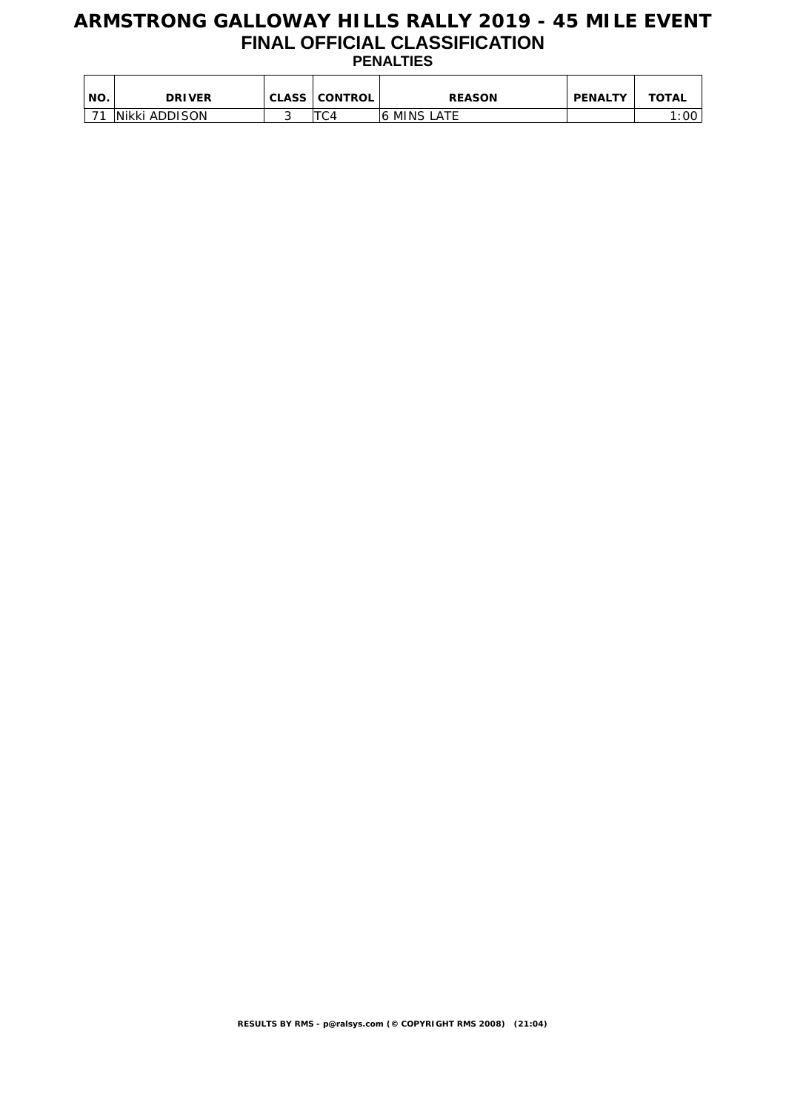### **ARMSTRONG GALLOWAY HILLS RALLY 2019 - 45 MILE EVENT FINAL OFFICIAL CLASSIFICATION PENALTIES**

| ' NO. | <b>DRIVER</b> | <b>CLASS CONTROL</b> | <b>REASON</b> | <b>PENALTY</b> | <b>TOTAL</b> |
|-------|---------------|----------------------|---------------|----------------|--------------|
| 74    | Nikki ADDISON | ᠇┌                   | 16 MINS LATE  |                | :00          |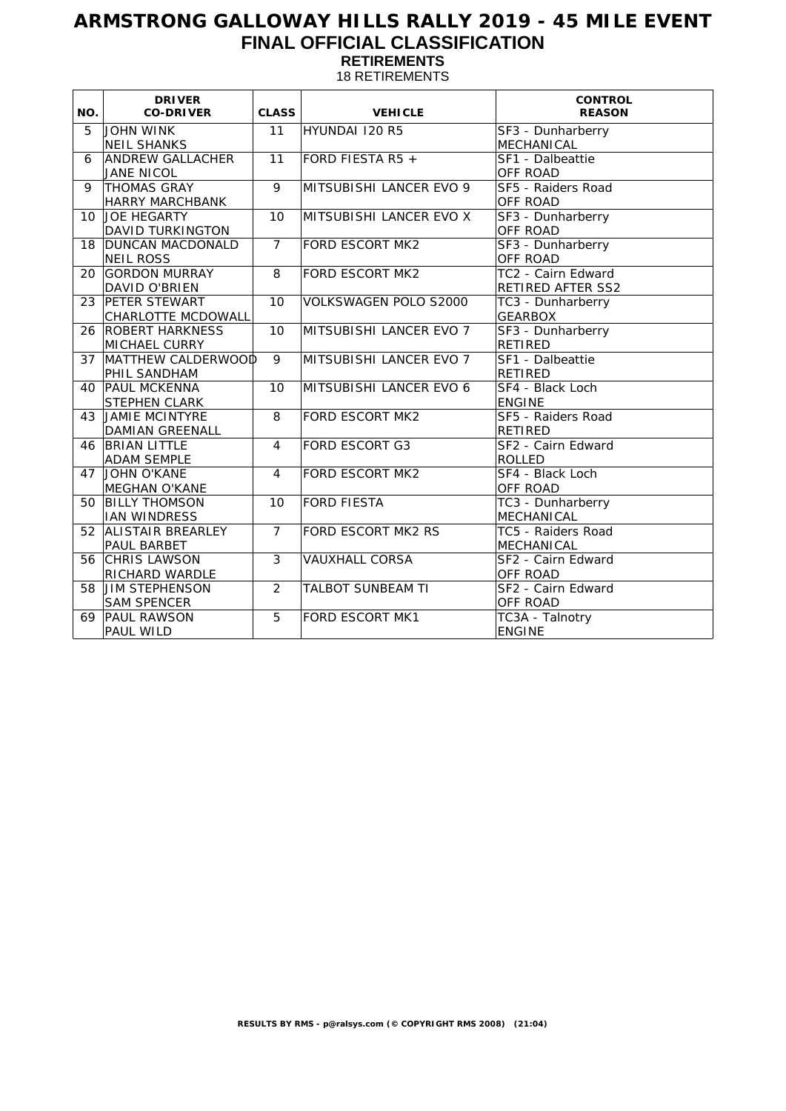## **ARMSTRONG GALLOWAY HILLS RALLY 2019 - 45 MILE EVENT FINAL OFFICIAL CLASSIFICATION RETIREMENTS**

18 RETIREMENTS

| NO. | <b>DRIVER</b><br><b>CO-DRIVER</b>              | <b>CLASS</b>   | <b>VEHICLE</b>           | <b>CONTROL</b><br><b>REASON</b>         |
|-----|------------------------------------------------|----------------|--------------------------|-----------------------------------------|
| 5   | <b>JOHN WINK</b><br><b>NEIL SHANKS</b>         | 11             | HYUNDAI 120 R5           | SF3 - Dunharberry<br><b>MECHANICAL</b>  |
| 6   | <b>ANDREW GALLACHER</b><br><b>JANE NICOL</b>   | 11             | FORD FIESTA R5 +         | SF1 - Dalbeattie<br><b>OFF ROAD</b>     |
| 9   | <b>THOMAS GRAY</b><br><b>HARRY MARCHBANK</b>   | 9              | MITSUBISHI LANCER EVO 9  | SF5 - Raiders Road<br><b>OFF ROAD</b>   |
| 10  | JOE HEGARTY<br><b>DAVID TURKINGTON</b>         | 10             | MITSUBISHI LANCER EVO X  | SF3 - Dunharberry<br>OFF ROAD           |
| 18  | <b>DUNCAN MACDONALD</b><br><b>NEIL ROSS</b>    | $\overline{7}$ | <b>FORD ESCORT MK2</b>   | SF3 - Dunharberry<br>OFF ROAD           |
| 20  | <b>GORDON MURRAY</b><br>DAVID O'BRIEN          | 8              | <b>FORD ESCORT MK2</b>   | TC2 - Cairn Edward<br>RETIRED AFTER SS2 |
| 23  | PETER STEWART<br>CHARLOTTE MCDOWALL            | 10             | VOLKSWAGEN POLO S2000    | TC3 - Dunharberry<br><b>GEARBOX</b>     |
| 26  | <b>ROBERT HARKNESS</b><br><b>MICHAEL CURRY</b> | 10             | MITSUBISHI LANCER EVO 7  | SF3 - Dunharberry<br>RETIRED            |
| 37  | MATTHEW CALDERWOOD<br>PHIL SANDHAM             | 9              | MITSUBISHI LANCER EVO 7  | SF1 - Dalbeattie<br>RETIRED             |
| 40  | <b>PAUL MCKENNA</b><br>STEPHEN CLARK           | 10             | MITSUBISHI LANCER EVO 6  | SF4 - Black Loch<br><b>ENGINE</b>       |
| 43  | JAMIE MCINTYRE<br>DAMIAN GREENALL              | 8              | <b>FORD ESCORT MK2</b>   | SF5 - Raiders Road<br><b>RETIRED</b>    |
| 46  | <b>BRIAN LITTLE</b><br><b>ADAM SEMPLE</b>      | $\overline{4}$ | <b>FORD ESCORT G3</b>    | SF2 - Cairn Edward<br><b>ROLLED</b>     |
| 47  | JOHN O'KANE<br><b>MEGHAN O'KANE</b>            | 4              | <b>FORD ESCORT MK2</b>   | SF4 - Black Loch<br>OFF ROAD            |
| 50  | <b>BILLY THOMSON</b><br><b>IAN WINDRESS</b>    | 10             | <b>FORD FIESTA</b>       | TC3 - Dunharberry<br>MECHANICAL         |
| 52  | <b>ALISTAIR BREARLEY</b><br>PAUL BARBET        | $\overline{7}$ | FORD ESCORT MK2 RS       | TC5 - Raiders Road<br>MECHANICAL        |
| 56  | <b>CHRIS LAWSON</b><br>RICHARD WARDLE          | 3              | <b>VAUXHALL CORSA</b>    | SF2 - Cairn Edward<br>OFF ROAD          |
| 58  | JIM STEPHENSON<br><b>SAM SPENCER</b>           | $\overline{2}$ | <b>TALBOT SUNBEAM TI</b> | SF2 - Cairn Edward<br>OFF ROAD          |
| 69  | <b>PAUL RAWSON</b><br>PAUL WILD                | 5              | <b>FORD ESCORT MK1</b>   | TC3A - Talnotry<br><b>ENGINE</b>        |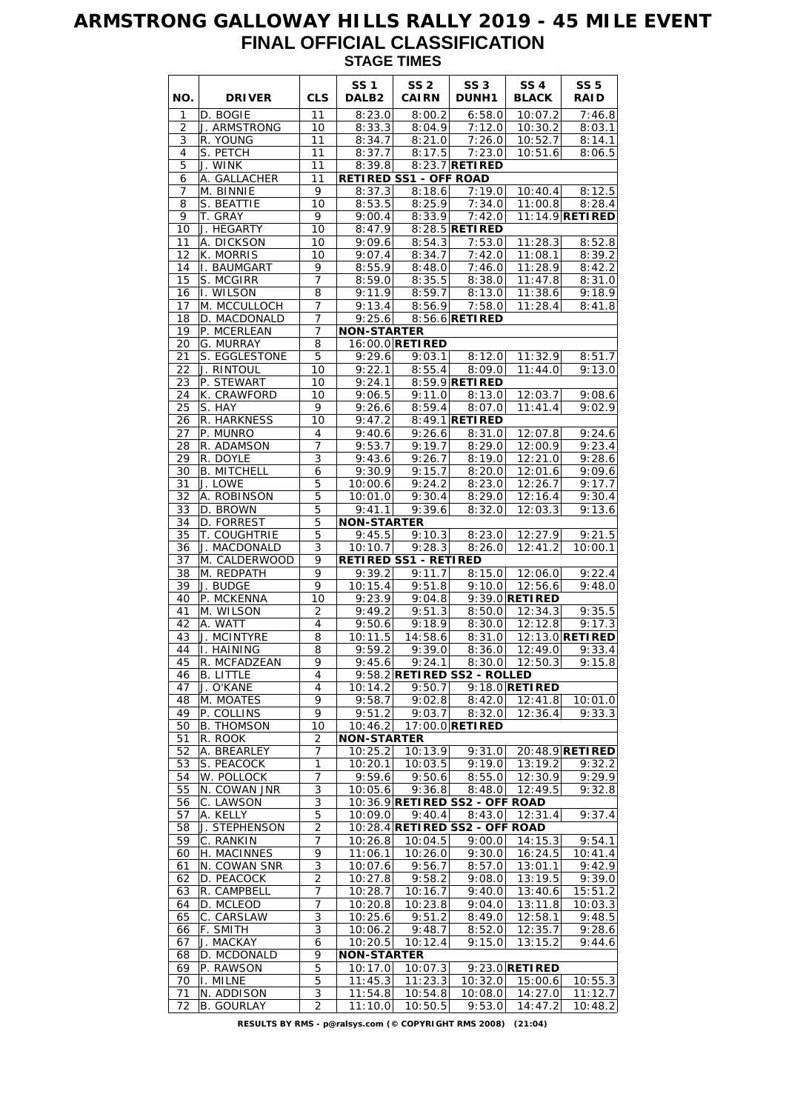# **ARMSTRONG GALLOWAY HILLS RALLY 2019 - 45 MILE EVENT FINAL OFFICIAL CLASSIFICATION STAGE TIMES**

|          |                               |                     | <b>SS1</b>                    | SS <sub>2</sub>                 | SS <sub>3</sub>                | SS <sub>4</sub>             | <b>SS 5</b>               |
|----------|-------------------------------|---------------------|-------------------------------|---------------------------------|--------------------------------|-----------------------------|---------------------------|
| NO.<br>1 | <b>DRIVER</b><br>D. BOGIE     | <b>CLS</b><br>11    | DALB <sub>2</sub><br>8:23.0   | CAIRN<br>8:00.2                 | <b>DUNH1</b><br>6:58.0         | <b>BLACK</b><br>10:07.2     | <b>RAID</b><br>7:46.8     |
| 2        | J. ARMSTRONG                  | 10                  | 8:33.3                        | 8:04.9                          | 7:12.0                         | 10:30.2                     | 8:03.1                    |
| 3        | R. YOUNG                      | 11                  | 8:34.7                        | 8:21.0                          | 7:26.0                         | 10:52.7                     | 8:14.1                    |
| 4        | S. PETCH                      | 11                  | 8:37.7                        | 8:17.5                          | 7:23.0                         | 10:51.6                     | 8:06.5                    |
| 5        | J. WINK                       | 11                  | 8:39.8                        |                                 | 8:23.7 RETIRED                 |                             |                           |
| 6        | A. GALLACHER                  | 11                  |                               | <b>RETIRED SS1 - OFF ROAD</b>   |                                |                             |                           |
| 7<br>8   | M. BINNIE<br>S. BEATTIE       | 9<br>10             | 8:37.3<br>8:53.5              | 8:18.6<br>8:25.9                | 7:19.0<br>7:34.0               | 10:40.4<br>11:00.8          | 8:12.5<br>8:28.4          |
| 9        | T. GRAY                       | 9                   | 9:00.4                        | 8:33.9                          | 7:42.0                         |                             | 11:14.9 RETIRED           |
| 10       | J. HEGARTY                    | 10                  | 8:47.9                        |                                 | 8:28.5 RETIRED                 |                             |                           |
| 11       | A. DICKSON                    | 10                  | 9:09.6                        | 8:54.3                          | 7:53.0                         | 11:28.3                     | 8:52.8                    |
| 12       | K. MORRIS                     | 10                  |                               | $9:07.4$ 8:34.7                 | 7:42.0                         | 11:08.1                     | 8:39.2                    |
| 14       | I. BAUMGART                   | 9                   | 8:55.9                        | 8:48.0                          | 7:46.0                         | 11:28.9                     | 8:42.2                    |
| 15<br>16 | S. MCGIRR<br>I. WILSON        | 7<br>8              | 8:59.0<br>9:11.9              | 8:35.5<br>8:59.7                | 8:38.0<br>8:13.0               | 11:47.8<br>11:38.6          | 8:31.0<br>9:18.9          |
| 17       | M. MCCULLOCH                  | $\overline{7}$      | 9:13.4                        |                                 | $8:56.9$ 7:58.0                | 11:28.4                     | 8:41.8                    |
| 18       | D. MACDONALD                  | 7                   | 9:25.6                        |                                 | 8:56.6 RETIRED                 |                             |                           |
| 19       | P. MCERLEAN                   | $\overline{7}$      | <b>NON-STARTER</b>            |                                 |                                |                             |                           |
| 20       | G. MURRAY                     | 8                   |                               | 16:00.0 RETIRED                 |                                |                             |                           |
| 21       | S. EGGLESTONE                 | 5                   | 9:29.6                        | 9:03.1                          | 8:12.0                         | 11:32.9                     | 8:51.7                    |
| 22<br>23 | J. RINTOUL<br>P. STEWART      | 10<br>10            | 9:22.1<br>9:24.1              | 8:55.4                          | 8:09.0<br>8:59.9 RETIRED       | 11:44.0                     | 9:13.0                    |
| 24       | K. CRAWFORD                   | 10                  | 9:06.5                        | 9:11.0                          | 8:13.0                         | 12:03.7                     | 9:08.6                    |
| 25       | S. HAY                        | 9                   | 9:26.6                        | 8:59.4                          | 8:07.0                         | 11:41.4                     | 9:02.9                    |
| 26       | R. HARKNESS                   | 10                  | 9:47.2                        |                                 | 8:49.1 RETIRED                 |                             |                           |
| 27       | P. MUNRO                      | 4                   | 9:40.6                        | 9:26.6                          | 8:31.0                         | 12:07.8                     | 9:24.6                    |
| 28       | R. ADAMSON                    | 7                   | 9:53.7                        | 9:19.7                          | 8:29.0                         | 12:00.9                     | 9:23.4                    |
| 29       | R. DOYLE                      | 3                   | 9:43.6                        | 9:26.7                          | 8:19.0                         | 12:21.0                     | 9:28.6                    |
| 30<br>31 | <b>B. MITCHELL</b><br>J. LOWE | 6<br>5              | 9:30.9<br>10:00.6             | 9:15.7<br>9:24.2                | 8:20.0<br>8:23.0               | 12:01.6<br>12:26.7          | 9:09.6<br>9:17.7          |
| 32       | A. ROBINSON                   | $\overline{5}$      | 10:01.0                       | 9:30.4                          | 8:29.0                         | 12:16.4                     | 9:30.4                    |
| 33       | D. BROWN                      | 5                   | 9:41.1                        | 9:39.6                          | 8:32.0                         | 12:03.3                     | 9:13.6                    |
| 34       | D. FORREST                    | 5                   | <b>NON-STARTER</b>            |                                 |                                |                             |                           |
| 35       | T. COUGHTRIE                  | 5                   | 9:45.5                        | 9:10.3                          | 8:23.0                         | 12:27.9                     | 9:21.5                    |
| 36       | J. MACDONALD                  | 3                   | 10:10.7                       | 9:28.3                          | 8:26.0                         | 12:41.2                     | 10:00.1                   |
| 37<br>38 | M. CALDERWOOD<br>M. REDPATH   | 9<br>9              | 9:39.2                        | RETIRED SS1 - RETIRED<br>9:11.7 | 8:15.0                         | 12:06.0                     | 9:22.4                    |
| 39       | J. BUDGE                      | 9                   | 10:15.4                       | 9:51.8                          | 9:10.0                         | 12:56.6                     | 9:48.0                    |
| 40       | P. MCKENNA                    | 10                  | 9:23.9                        | 9:04.8                          |                                | $9:39.0$ RETIRED            |                           |
| 41       | M. WILSON                     | $\overline{2}$      | 9:49.2                        | 9:51.3                          | 8:50.0                         | 12:34.3                     | 9:35.5                    |
| 42       | A. WATT                       | $\overline{4}$      | 9:50.6                        | 9:18.9                          | 8:30.0                         | 12:12.8                     | 9:17.3                    |
| 43       | J. MCINTYRE                   | 8                   | 10:11.5                       | 14:58.6                         | 8:31.0                         |                             | 12:13.0 <b>RETIRED</b>    |
| 44<br>45 | I. HAINING<br>R. MCFADZEAN    | 8<br>$\overline{9}$ | 9:59.2                        | 9:39.0<br>$9:45.6$ $9:24.1$     | 8:36.0                         | 12:49.0<br>$8:30.0$ 12:50.3 | 9:33.4<br>9:15.8          |
| 46       | <b>B.</b> LITTLE              | 4                   |                               |                                 | 9:58.2 RETIRED SS2 - ROLLED    |                             |                           |
| 47       | J. O'KANE                     | 4                   | 10:14.2                       | 9:50.7                          |                                | $9:18.0$ RETIRED            |                           |
| 48       | M. MOATES                     | 9                   | 9:58.7                        | 9:02.8                          | 8:42.0                         | 12:41.8                     | 10:01.0                   |
| 49       | P. COLLINS                    | 9                   | 9:51.2                        | 9:03.7                          | 8:32.0                         | 12:36.4                     | 9:33.3                    |
| 50       | <b>B. THOMSON</b>             | 10                  | 10:46.2                       |                                 | 17:00.0 RETIRED                |                             |                           |
| 51       | R. ROOK<br>A. BREARLEY        | 2                   | <b>NON-STARTER</b>            |                                 |                                |                             |                           |
| 52<br>53 | S. PEACOCK                    | 7<br>$\mathbf{1}$   | 10:25.2<br>10:20.1            | 10:13.9<br>10:03.5              | 9:31.0<br>9:19.0               | 13:19.2                     | 20:48.9 RETIRED<br>9:32.2 |
| 54       | W. POLLOCK                    | 7                   | 9:59.6                        | 9:50.6                          | 8:55.0                         | 12:30.9                     | 9:29.9                    |
| 55       | N. COWAN JNR                  | $\overline{3}$      | 10:05.6                       | 9:36.8                          | 8:48.0                         | 12:49.5                     | 9:32.8                    |
| 56       | C. LAWSON                     | 3                   |                               |                                 | 10:36.9 RETIRED SS2 - OFF ROAD |                             |                           |
| 57       | A. KELLY                      | 5                   | 10:09.0                       | 9:40.4                          | 8:43.0                         | 12:31.4                     | 9:37.4                    |
| 58       | J. STEPHENSON                 | $\overline{2}$      |                               |                                 | 10:28.4 RETIRED SS2 - OFF ROAD |                             |                           |
| 59<br>60 | C. RANKIN<br>H. MACINNES      | 7<br>9              | 10:26.8<br>11:06.1            | 10:04.5<br>10:26.0              | 9:00.0<br>9:30.0               | 14:15.3<br>16:24.5          | 9:54.1<br>10:41.4         |
| 61       | N. COWAN SNR                  | $\overline{3}$      | 10:07.6                       | 9:56.7                          | 8:57.0                         | 13:01.1                     | 9:42.9                    |
| 62       | D. PEACOCK                    | 2                   | 10:27.8                       | 9:58.2                          | 9:08.0                         | 13:19.5                     | 9:39.0                    |
| 63       | R. CAMPBELL                   | $\overline{7}$      | 10:28.7                       | 10:16.7                         | 9:40.0                         | 13:40.6                     | 15:51.2                   |
| 64       | D. MCLEOD                     | 7                   | 10:20.8                       | 10:23.8                         | 9:04.0                         | 13:11.8                     | 10:03.3                   |
| 65       | C. CARSLAW                    | 3                   | 10:25.6                       | 9:51.2                          | 8:49.0                         | 12:58.1                     | 9:48.5                    |
| 66       | F. SMITH                      | $\overline{3}$      | 10:06.2                       | 9:48.7                          | 8:52.0                         | 12:35.7                     | 9:28.6                    |
| 67<br>68 | J. MACKAY<br>D. MCDONALD      | 6<br>9              | 10:20.5<br><b>NON-STARTER</b> | 10:12.4                         | 9:15.0                         | 13:15.2                     | 9:44.6                    |
| 69       | P. RAWSON                     | 5                   | 10:17.0                       | 10:07.3                         |                                | $9:23.0$ RETIRED            |                           |
| 70       | I. MILNE                      | 5                   | 11:45.3                       | 11:23.3                         | 10:32.0                        | 15:00.6                     | $\overline{10:}55.3$      |
| 71       | N. ADDISON                    | 3                   | 11:54.8                       | 10:54.8                         | 10:08.0                        | 14:27.0                     | 11:12.7                   |
| 72       | B. GOURLAY                    | 2                   | 11:10.0                       | 10:50.5                         | 9:53.0                         | 14:47.2                     | 10:48.2                   |

**RESULTS BY RMS - p@ralsys.com (© COPYRIGHT RMS 2008) (21:04)**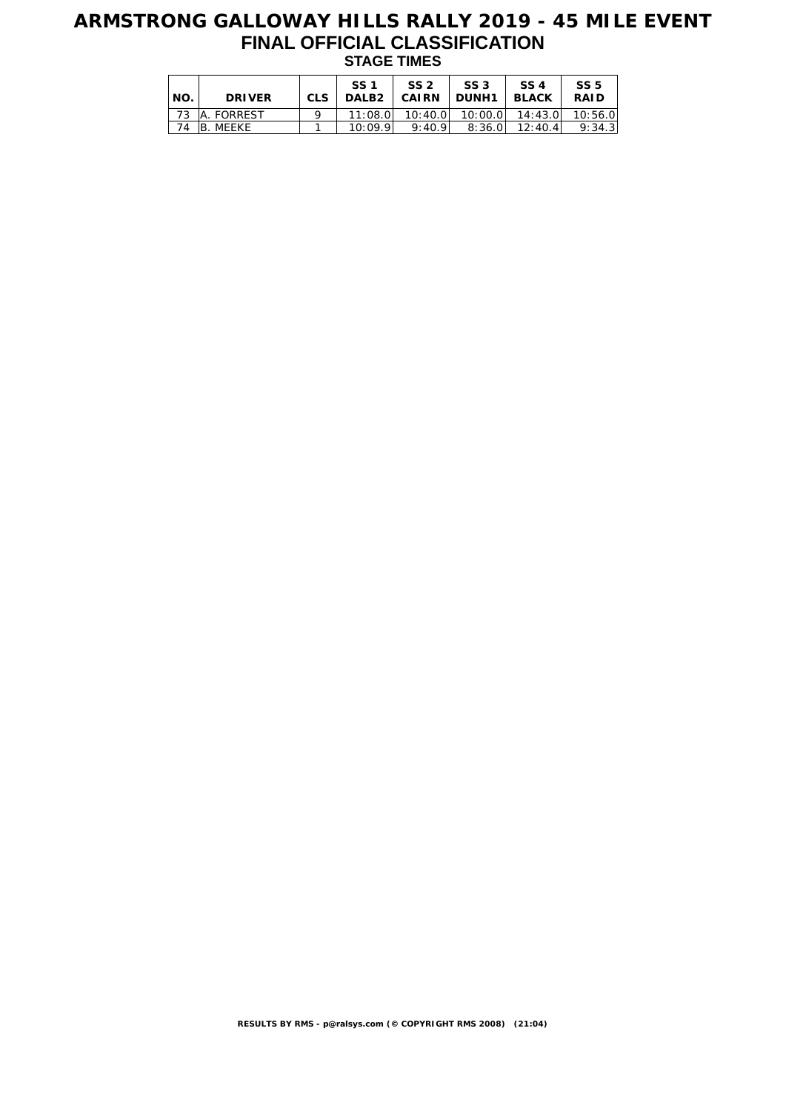# **ARMSTRONG GALLOWAY HILLS RALLY 2019 - 45 MILE EVENT FINAL OFFICIAL CLASSIFICATION STAGE TIMES**

| NO. | <b>DRIVER</b>   | <b>CLS</b> | SS <sub>1</sub> | SS <sub>2</sub><br>DALB2   CAIRN   DUNH1 | SS <sub>3</sub>               | SS 4<br><b>BLACK</b> | SS <sub>5</sub><br><b>RAID</b> |
|-----|-----------------|------------|-----------------|------------------------------------------|-------------------------------|----------------------|--------------------------------|
|     | 73   A. FORREST |            | 11:08.0         |                                          | $10:40.0$ $10:00.0$ $14:43.0$ |                      | 10:56.0                        |
| 74  | IB. MEEKE       |            | 10:09.9         | 9:40.9                                   | 8:36.0                        | 12:40.4              | 9:34.3                         |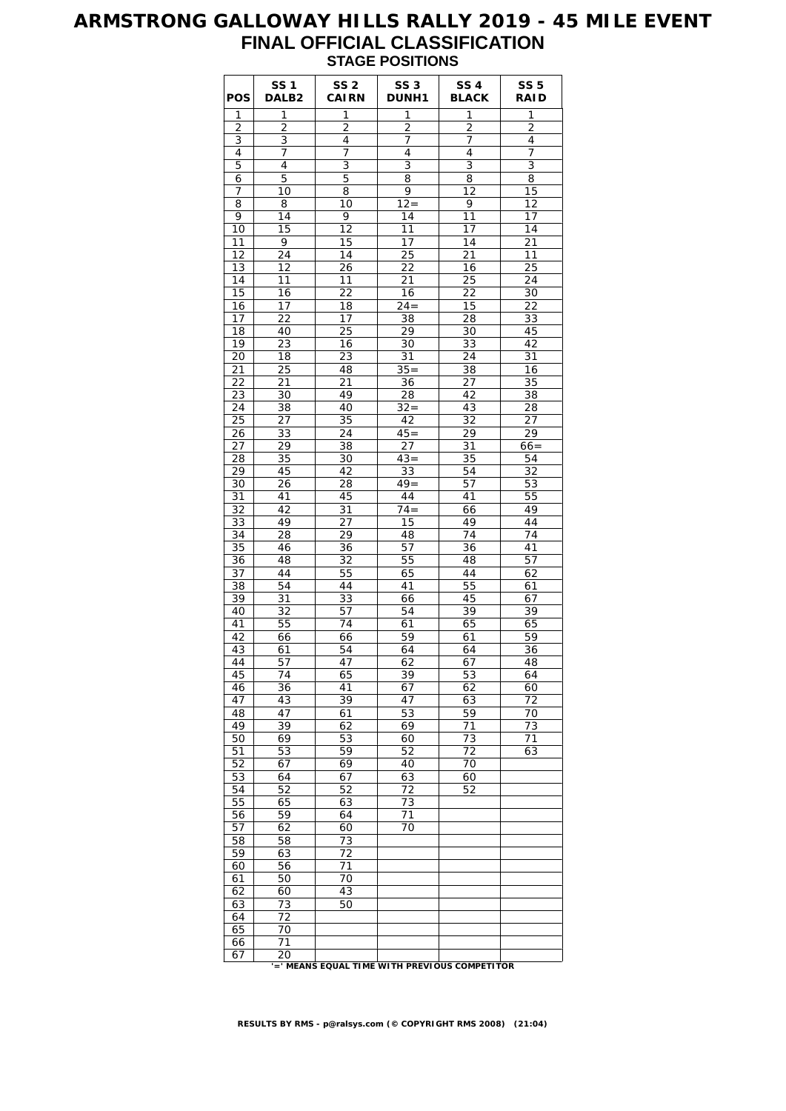## **ARMSTRONG GALLOWAY HILLS RALLY 2019 - 45 MILE EVENT FINAL OFFICIAL CLASSIFICATION STAGE POSITIONS**

| <b>POS</b>     | <b>SS1</b><br>DALB <sub>2</sub> | SS <sub>2</sub><br><b>CAIRN</b> | SS <sub>3</sub><br><b>DUNH1</b>               | SS <sub>4</sub><br><b>BLACK</b> | <b>SS 5</b><br><b>RAID</b> |
|----------------|---------------------------------|---------------------------------|-----------------------------------------------|---------------------------------|----------------------------|
| 1              | 1                               | 1                               | 1                                             | 1                               | 1                          |
| $\overline{2}$ | $\overline{c}$                  | 2                               | $\overline{c}$                                | $\overline{2}$                  | 2                          |
| 3              | 3                               | 4                               | 7                                             | 7                               | 4                          |
| 4              | 7                               | 7                               | 4                                             | 4                               | 7                          |
| 5              | 4                               | 3                               | 3                                             | 3                               | 3                          |
| 6              | 5                               | 5                               | 8                                             | 8                               | 8                          |
| 7              | 10<br>8                         | 8<br>10                         | 9<br>$\overline{12}$ =                        | 12<br>9                         | 15<br>12                   |
| 8<br>9         | 14                              | 9                               | 14                                            | 11                              | 17                         |
| 10             | 15                              | 12                              | 11                                            | 17                              | $\overline{1}4$            |
| 11             | 9                               | 15                              | 17                                            | 14                              | 21                         |
| 12             | 24                              | 14                              | 25                                            | 21                              | 11                         |
| 13             | 12                              | 26                              | 22                                            | 16                              | 25                         |
| 14             | 11                              | 11                              | 21                                            | 25                              | 24                         |
| 15             | 16                              | 22                              | 16                                            | 22                              | 30                         |
| 16             | 17                              | 18                              | $24 =$                                        | 15                              | 22                         |
| 17             | 22                              | 17                              | 38                                            | 28                              | 33                         |
| 18             | 40                              | 25                              | 29                                            | 30                              | 45                         |
| 19             | 23                              | 16                              | 30                                            | 33                              | 42                         |
| 20             | 18                              | 23                              | 31                                            | 24                              | 31                         |
| 21             | 25                              | 48                              | $35 =$                                        | 38                              | 16                         |
| 22             | 21                              | 21                              | 36                                            | 27                              | 35                         |
| 23             | 30                              | 49                              | 28                                            | 42                              | 38                         |
| 24             | 38                              | 40                              | $32 =$                                        | 43                              | 28                         |
| 25             | 27                              | 35                              | 42                                            | 32                              | 27                         |
| 26             | 33                              | 24                              | $45=$                                         | 29                              | 29                         |
| 27             | 29                              | 38                              | 27                                            | 31                              | $66 =$                     |
| 28             | 35                              | 30                              | $43 =$                                        | 35                              | 54                         |
| 29             | 45                              | 42                              | 33                                            | 54                              | 32                         |
| 30             | 26                              | 28                              | $49 =$                                        | 57                              | 53                         |
| 31             | 41                              | 45                              | 44                                            | 41                              | 55                         |
| 32             | 42                              | 31                              | $74 =$                                        | 66                              | 49                         |
| 33<br>34       | 49<br>28                        | 27<br>29                        | 15<br>48                                      | 49<br>74                        | 44<br>74                   |
| 35             | 46                              | 36                              | 57                                            | 36                              | 41                         |
| 36             | 48                              | 32                              | 55                                            | 48                              | 57                         |
| 37             | 44                              | 55                              | 65                                            | 44                              | 62                         |
| 38             | 54                              | 44                              | 41                                            | 55                              | 61                         |
| 39             | 31                              | 33                              | 66                                            | 45                              | 67                         |
| 40             | 32                              | 57                              | 54                                            | 39                              | 39                         |
| 41             | 55                              | 74                              | 61                                            | 65                              | 65                         |
| 42             | 66                              | 66                              | 59                                            | 61                              | 59                         |
| 43             | 61                              | 54                              | 64                                            | 64                              | 36                         |
| 44             | 57                              | 47                              | 62                                            | 67                              | $\overline{48}$            |
| 45             | 74                              | 65                              | 39                                            | 53                              | 64                         |
| 46             | 36                              | 41                              | 67                                            | 62                              | 60                         |
| 47             | 43                              | 39                              | 47                                            | 63                              | 72                         |
| 48             | 47                              | 61                              | 53                                            | 59                              | 70                         |
| 49             | 39                              | 62                              | 69                                            | 71                              | 73                         |
| 50             | 69                              | 53                              | 60                                            | 73                              | 71                         |
| 51             | 53                              | 59                              | 52                                            | 72                              | 63                         |
| 52             | 67                              | 69                              | 40                                            | 70                              |                            |
| 53             | 64                              | 67                              | 63                                            | 60                              |                            |
| 54             | 52                              | 52                              | 72                                            | 52                              |                            |
| 55             | 65                              | 63                              | 73                                            |                                 |                            |
| 56             | 59                              | 64                              | 71                                            |                                 |                            |
| 57             | 62<br>58                        | 60<br>73                        | 70                                            |                                 |                            |
| 58<br>59       | 63                              | 72                              |                                               |                                 |                            |
| 60             | 56                              | 71                              |                                               |                                 |                            |
| 61             | 50                              | 70                              |                                               |                                 |                            |
| 62             | 60                              | 43                              |                                               |                                 |                            |
| 63             | 73                              | 50                              |                                               |                                 |                            |
| 64             | 72                              |                                 |                                               |                                 |                            |
| 65             | 70                              |                                 |                                               |                                 |                            |
| 66             | 71                              |                                 |                                               |                                 |                            |
| 67             | 20                              |                                 |                                               |                                 |                            |
|                |                                 |                                 | '=' MEANS EQUAL TIME WITH PREVIOUS COMPETITOR |                                 |                            |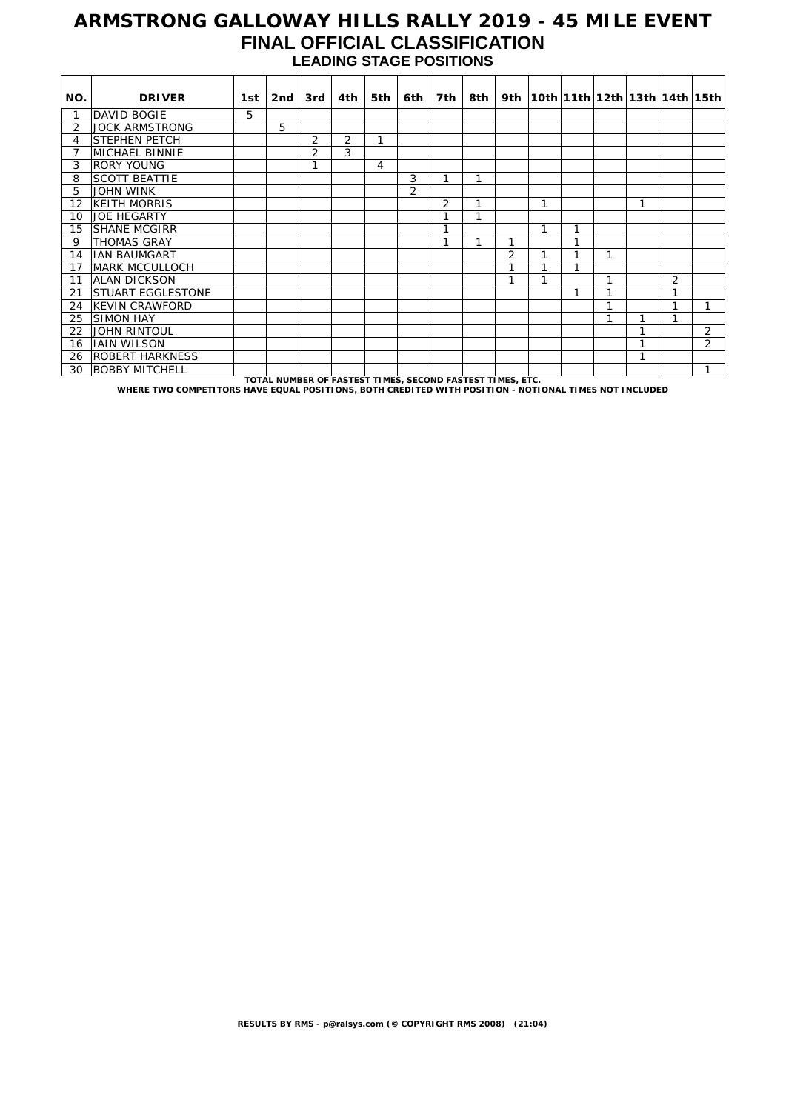### **ARMSTRONG GALLOWAY HILLS RALLY 2019 - 45 MILE EVENT FINAL OFFICIAL CLASSIFICATION LEADING STAGE POSITIONS**

| NO. | <b>DRIVER</b>                                                                                         | 1st | 2nd                                                       | 3rd            | 4th | 5th | 6th            | 7th            | 8th |                |   |   |   |   |   | 9th   10th   11th   12th   13th   14th   15th |
|-----|-------------------------------------------------------------------------------------------------------|-----|-----------------------------------------------------------|----------------|-----|-----|----------------|----------------|-----|----------------|---|---|---|---|---|-----------------------------------------------|
|     | DAVID BOGIE                                                                                           | 5.  |                                                           |                |     |     |                |                |     |                |   |   |   |   |   |                                               |
| 2   | <b>JOCK ARMSTRONG</b>                                                                                 |     | 5                                                         |                |     |     |                |                |     |                |   |   |   |   |   |                                               |
| 4   | <b>STEPHEN PETCH</b>                                                                                  |     |                                                           | 2              | 2   | 1   |                |                |     |                |   |   |   |   |   |                                               |
| 7   | <b>MICHAEL BINNIE</b>                                                                                 |     |                                                           | $\overline{2}$ | 3   |     |                |                |     |                |   |   |   |   |   |                                               |
| 3   | <b>RORY YOUNG</b>                                                                                     |     |                                                           | 1              |     | 4   |                |                |     |                |   |   |   |   |   |                                               |
| 8   | <b>SCOTT BEATTIE</b>                                                                                  |     |                                                           |                |     |     | 3              | 1              | 1   |                |   |   |   |   |   |                                               |
| 5   | <b>JOHN WINK</b>                                                                                      |     |                                                           |                |     |     | $\overline{2}$ |                |     |                |   |   |   |   |   |                                               |
| 12  | <b>KEITH MORRIS</b>                                                                                   |     |                                                           |                |     |     |                | $\overline{2}$ |     |                | 1 |   |   | 1 |   |                                               |
| 10  | <b>JOE HEGARTY</b>                                                                                    |     |                                                           |                |     |     |                |                |     |                |   |   |   |   |   |                                               |
| 15  | <b>SHANE MCGIRR</b>                                                                                   |     |                                                           |                |     |     |                |                |     |                | 1 |   |   |   |   |                                               |
| 9   | <b>THOMAS GRAY</b>                                                                                    |     |                                                           |                |     |     |                |                |     | 1              |   | 1 |   |   |   |                                               |
| 14  | <b>IAN BAUMGART</b>                                                                                   |     |                                                           |                |     |     |                |                |     | $\overline{2}$ | 1 | и | 1 |   |   |                                               |
| 17  | <b>MARK MCCULLOCH</b>                                                                                 |     |                                                           |                |     |     |                |                |     | 1              | 1 | 1 |   |   |   |                                               |
| 11  | ALAN DICKSON                                                                                          |     |                                                           |                |     |     |                |                |     | 1              | 1 |   | 1 |   | 2 |                                               |
| 21  | STUART EGGLESTONE                                                                                     |     |                                                           |                |     |     |                |                |     |                |   | 1 |   |   | 1 |                                               |
| 24  | KEVIN CRAWFORD                                                                                        |     |                                                           |                |     |     |                |                |     |                |   |   |   |   | 1 | 1                                             |
| 25  | <b>SIMON HAY</b>                                                                                      |     |                                                           |                |     |     |                |                |     |                |   |   |   |   |   |                                               |
| 22  | <b>JOHN RINTOUL</b>                                                                                   |     |                                                           |                |     |     |                |                |     |                |   |   |   | и |   | $\overline{2}$                                |
| 16  | <b>JAIN WILSON</b>                                                                                    |     |                                                           |                |     |     |                |                |     |                |   |   |   | h |   | $\overline{2}$                                |
| 26  | <b>ROBERT HARKNESS</b>                                                                                |     |                                                           |                |     |     |                |                |     |                |   |   |   | 1 |   |                                               |
| 30  | <b>BOBBY MITCHELL</b>                                                                                 |     |                                                           |                |     |     |                |                |     |                |   |   |   |   |   |                                               |
|     | WHERE TWO COMPETITORS HAVE EQUAL POSITIONS. BOTH CREDITED WITH POSITION - NOTIONAL TIMES NOT INCLUDED |     | TOTAL NUMBER OF FASTEST TIMES, SECOND FASTEST TIMES, ETC. |                |     |     |                |                |     |                |   |   |   |   |   |                                               |